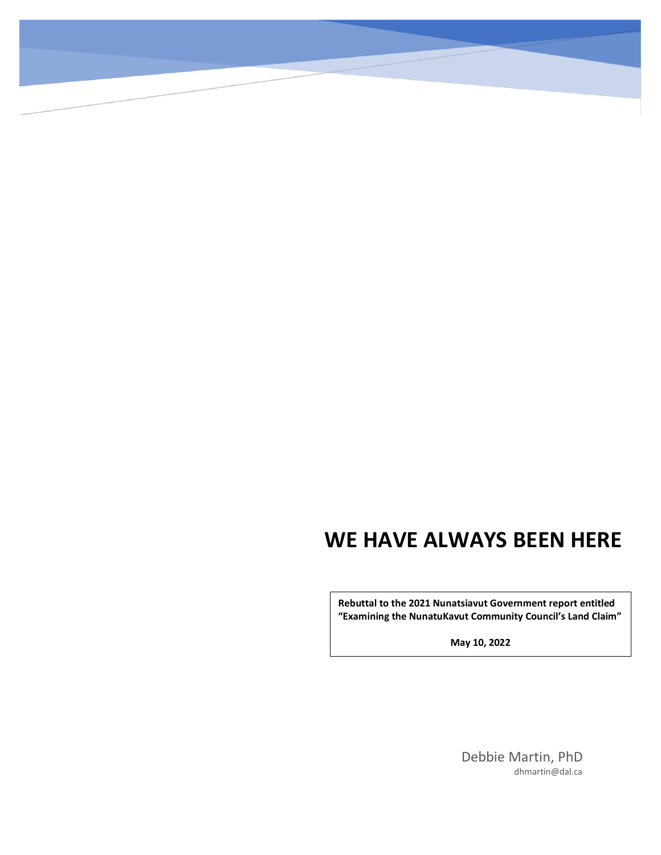# **WE HAVE ALWAYS BEEN HERE**

**Rebuttal to the 2021 Nunatsiavut Government report entitled "Examining the NunatuKavut Community Council's Land Claim"**

**May 10, 2022**

Debbie Martin, PhD dhmartin@dal.ca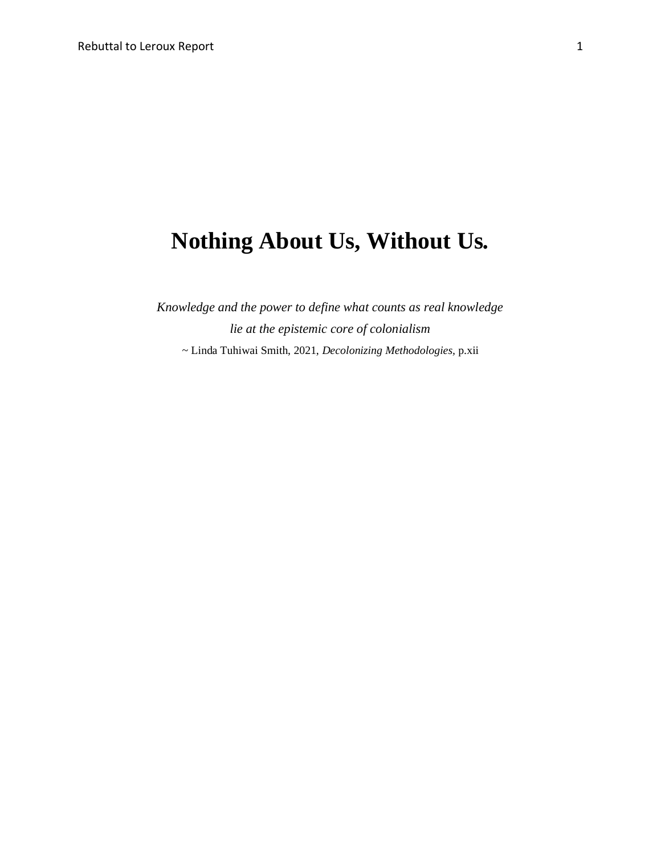# **Nothing About Us, Without Us***.*

*Knowledge and the power to define what counts as real knowledge lie at the epistemic core of colonialism ~* Linda Tuhiwai Smith, 2021, *Decolonizing Methodologies,* p.xii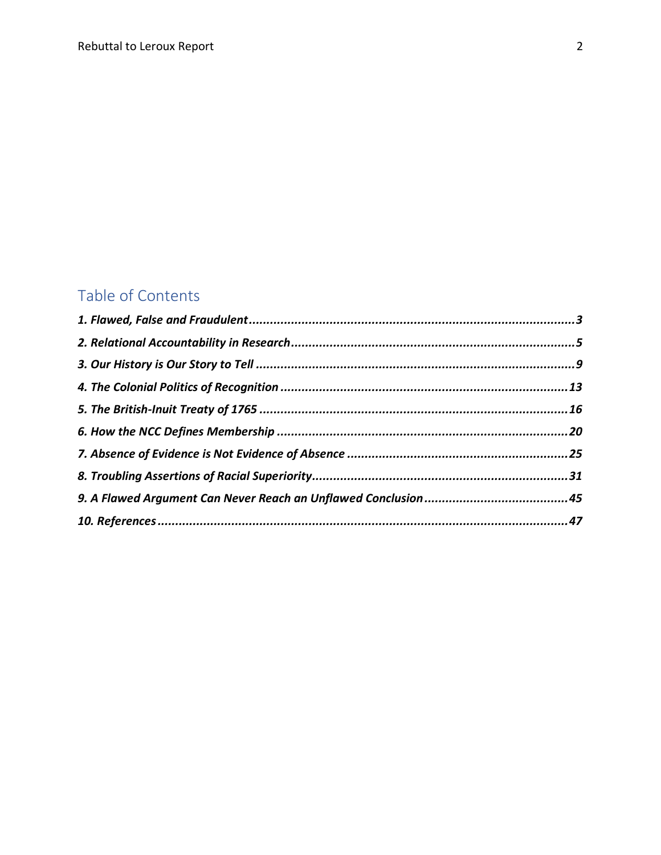## Table of Contents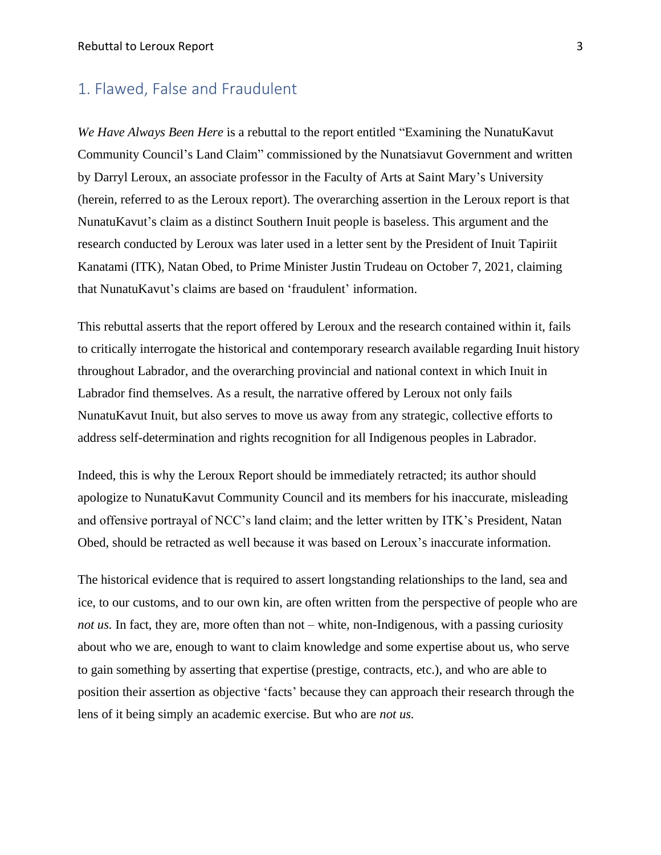#### <span id="page-3-0"></span>1. Flawed, False and Fraudulent

*We Have Always Been Here* is a rebuttal to the report entitled "Examining the NunatuKavut Community Council's Land Claim" commissioned by the Nunatsiavut Government and written by Darryl Leroux, an associate professor in the Faculty of Arts at Saint Mary's University (herein, referred to as the Leroux report). The overarching assertion in the Leroux report is that NunatuKavut's claim as a distinct Southern Inuit people is baseless. This argument and the research conducted by Leroux was later used in a letter sent by the President of Inuit Tapiriit Kanatami (ITK), Natan Obed, to Prime Minister Justin Trudeau on October 7, 2021, claiming that NunatuKavut's claims are based on 'fraudulent' information.

This rebuttal asserts that the report offered by Leroux and the research contained within it, fails to critically interrogate the historical and contemporary research available regarding Inuit history throughout Labrador, and the overarching provincial and national context in which Inuit in Labrador find themselves. As a result, the narrative offered by Leroux not only fails NunatuKavut Inuit, but also serves to move us away from any strategic, collective efforts to address self-determination and rights recognition for all Indigenous peoples in Labrador.

Indeed, this is why the Leroux Report should be immediately retracted; its author should apologize to NunatuKavut Community Council and its members for his inaccurate, misleading and offensive portrayal of NCC's land claim; and the letter written by ITK's President, Natan Obed, should be retracted as well because it was based on Leroux's inaccurate information.

The historical evidence that is required to assert longstanding relationships to the land, sea and ice, to our customs, and to our own kin, are often written from the perspective of people who are *not us.* In fact, they are, more often than not – white, non-Indigenous, with a passing curiosity about who we are, enough to want to claim knowledge and some expertise about us, who serve to gain something by asserting that expertise (prestige, contracts, etc.), and who are able to position their assertion as objective 'facts' because they can approach their research through the lens of it being simply an academic exercise. But who are *not us.*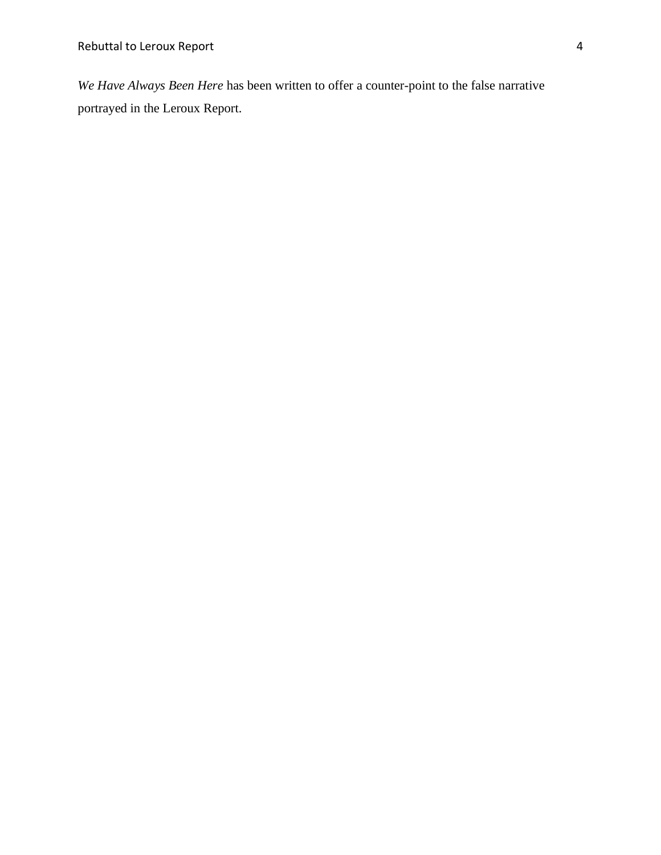*We Have Always Been Here* has been written to offer a counter-point to the false narrative portrayed in the Leroux Report.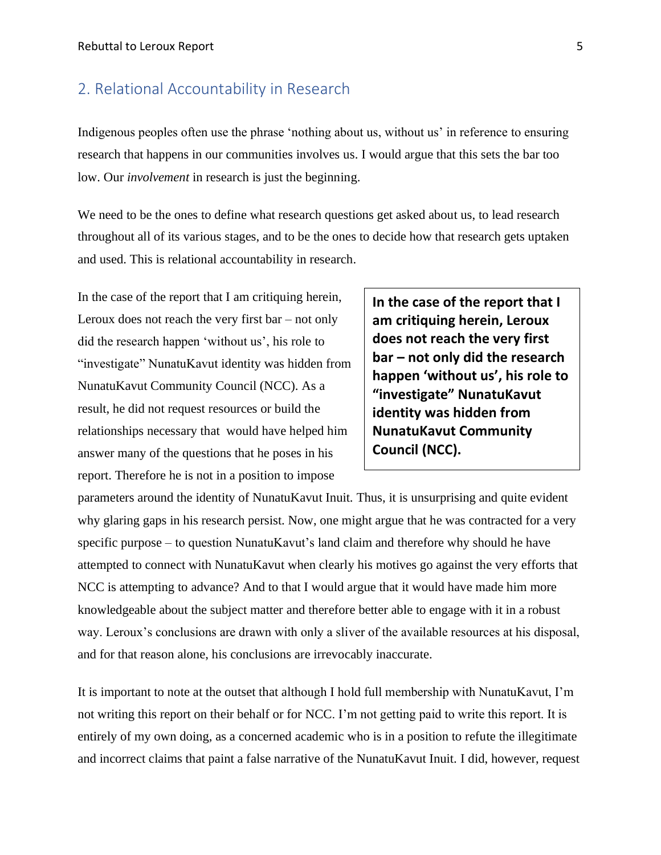#### <span id="page-5-0"></span>2. Relational Accountability in Research

Indigenous peoples often use the phrase 'nothing about us, without us' in reference to ensuring research that happens in our communities involves us. I would argue that this sets the bar too low. Our *involvement* in research is just the beginning.

We need to be the ones to define what research questions get asked about us, to lead research throughout all of its various stages, and to be the ones to decide how that research gets uptaken and used. This is relational accountability in research.

In the case of the report that I am critiquing herein, Leroux does not reach the very first bar – not only did the research happen 'without us', his role to "investigate" NunatuKavut identity was hidden from NunatuKavut Community Council (NCC). As a result, he did not request resources or build the relationships necessary that would have helped him answer many of the questions that he poses in his report. Therefore he is not in a position to impose

**In the case of the report that I am critiquing herein, Leroux does not reach the very first bar – not only did the research happen 'without us', his role to "investigate" NunatuKavut identity was hidden from NunatuKavut Community Council (NCC).**

parameters around the identity of NunatuKavut Inuit. Thus, it is unsurprising and quite evident why glaring gaps in his research persist. Now, one might argue that he was contracted for a very specific purpose – to question NunatuKavut's land claim and therefore why should he have attempted to connect with NunatuKavut when clearly his motives go against the very efforts that NCC is attempting to advance? And to that I would argue that it would have made him more knowledgeable about the subject matter and therefore better able to engage with it in a robust way. Leroux's conclusions are drawn with only a sliver of the available resources at his disposal, and for that reason alone, his conclusions are irrevocably inaccurate.

It is important to note at the outset that although I hold full membership with NunatuKavut, I'm not writing this report on their behalf or for NCC. I'm not getting paid to write this report. It is entirely of my own doing, as a concerned academic who is in a position to refute the illegitimate and incorrect claims that paint a false narrative of the NunatuKavut Inuit. I did, however, request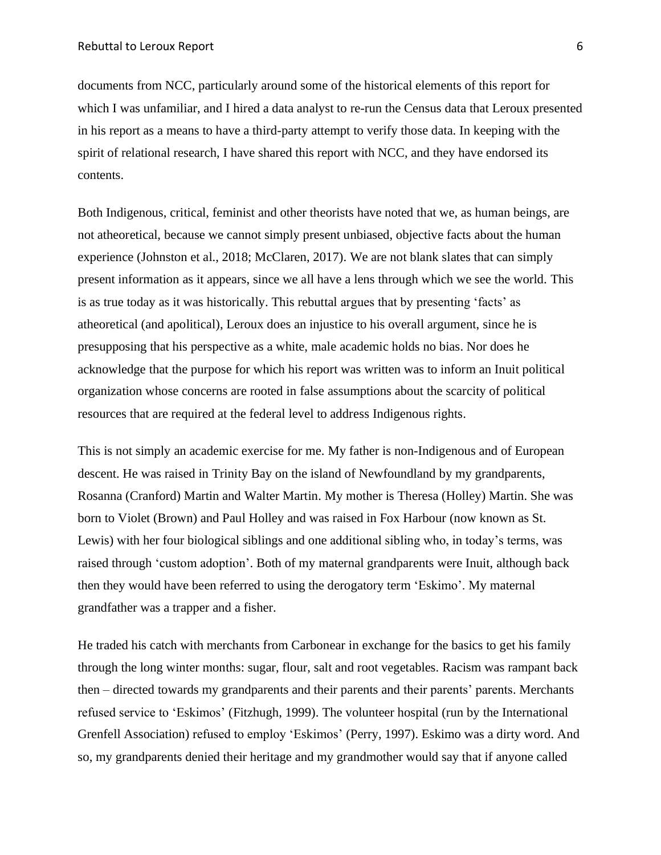documents from NCC, particularly around some of the historical elements of this report for which I was unfamiliar, and I hired a data analyst to re-run the Census data that Leroux presented in his report as a means to have a third-party attempt to verify those data. In keeping with the spirit of relational research, I have shared this report with NCC, and they have endorsed its contents.

Both Indigenous, critical, feminist and other theorists have noted that we, as human beings, are not atheoretical, because we cannot simply present unbiased, objective facts about the human experience (Johnston et al., 2018; McClaren, 2017). We are not blank slates that can simply present information as it appears, since we all have a lens through which we see the world. This is as true today as it was historically. This rebuttal argues that by presenting 'facts' as atheoretical (and apolitical), Leroux does an injustice to his overall argument, since he is presupposing that his perspective as a white, male academic holds no bias. Nor does he acknowledge that the purpose for which his report was written was to inform an Inuit political organization whose concerns are rooted in false assumptions about the scarcity of political resources that are required at the federal level to address Indigenous rights.

This is not simply an academic exercise for me. My father is non-Indigenous and of European descent. He was raised in Trinity Bay on the island of Newfoundland by my grandparents, Rosanna (Cranford) Martin and Walter Martin. My mother is Theresa (Holley) Martin. She was born to Violet (Brown) and Paul Holley and was raised in Fox Harbour (now known as St. Lewis) with her four biological siblings and one additional sibling who, in today's terms, was raised through 'custom adoption'. Both of my maternal grandparents were Inuit, although back then they would have been referred to using the derogatory term 'Eskimo'. My maternal grandfather was a trapper and a fisher.

He traded his catch with merchants from Carbonear in exchange for the basics to get his family through the long winter months: sugar, flour, salt and root vegetables. Racism was rampant back then – directed towards my grandparents and their parents and their parents' parents. Merchants refused service to 'Eskimos' (Fitzhugh, 1999). The volunteer hospital (run by the International Grenfell Association) refused to employ 'Eskimos' (Perry, 1997). Eskimo was a dirty word. And so, my grandparents denied their heritage and my grandmother would say that if anyone called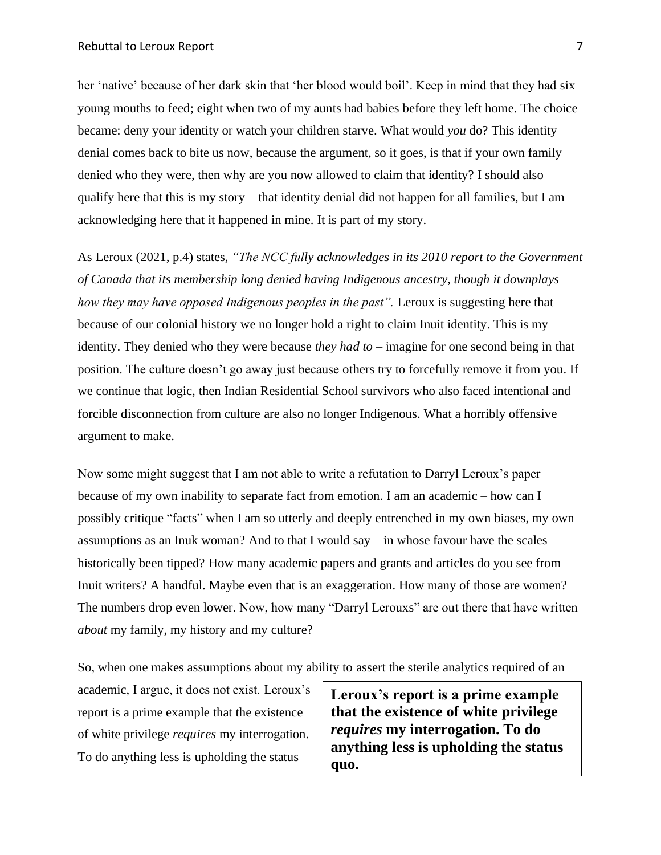her 'native' because of her dark skin that 'her blood would boil'. Keep in mind that they had six young mouths to feed; eight when two of my aunts had babies before they left home. The choice became: deny your identity or watch your children starve. What would *you* do? This identity denial comes back to bite us now, because the argument, so it goes, is that if your own family denied who they were, then why are you now allowed to claim that identity? I should also qualify here that this is my story – that identity denial did not happen for all families, but I am acknowledging here that it happened in mine. It is part of my story.

As Leroux (2021, p.4) states, *"The NCC fully acknowledges in its 2010 report to the Government of Canada that its membership long denied having Indigenous ancestry, though it downplays how they may have opposed Indigenous peoples in the past".* Leroux is suggesting here that because of our colonial history we no longer hold a right to claim Inuit identity. This is my identity. They denied who they were because *they had to* – imagine for one second being in that position. The culture doesn't go away just because others try to forcefully remove it from you. If we continue that logic, then Indian Residential School survivors who also faced intentional and forcible disconnection from culture are also no longer Indigenous. What a horribly offensive argument to make.

Now some might suggest that I am not able to write a refutation to Darryl Leroux's paper because of my own inability to separate fact from emotion. I am an academic – how can I possibly critique "facts" when I am so utterly and deeply entrenched in my own biases, my own assumptions as an Inuk woman? And to that I would say – in whose favour have the scales historically been tipped? How many academic papers and grants and articles do you see from Inuit writers? A handful. Maybe even that is an exaggeration. How many of those are women? The numbers drop even lower. Now, how many "Darryl Lerouxs" are out there that have written *about* my family, my history and my culture?

So, when one makes assumptions about my ability to assert the sterile analytics required of an

academic, I argue, it does not exist. Leroux's report is a prime example that the existence of white privilege *requires* my interrogation. To do anything less is upholding the status

**Leroux's report is a prime example that the existence of white privilege**  *requires* **my interrogation. To do anything less is upholding the status quo.**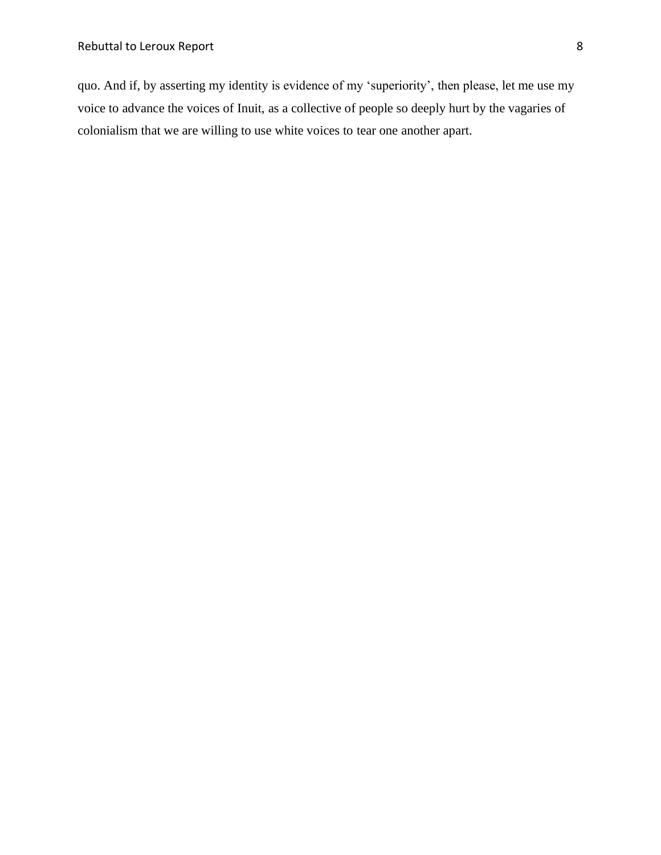quo. And if, by asserting my identity is evidence of my 'superiority', then please, let me use my voice to advance the voices of Inuit, as a collective of people so deeply hurt by the vagaries of colonialism that we are willing to use white voices to tear one another apart.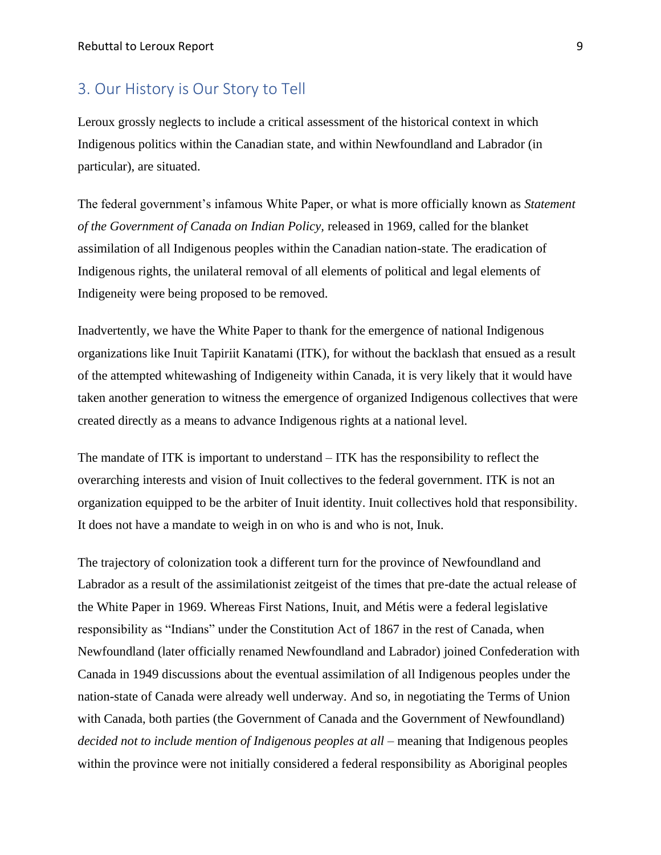#### <span id="page-9-0"></span>3. Our History is Our Story to Tell

Leroux grossly neglects to include a critical assessment of the historical context in which Indigenous politics within the Canadian state, and within Newfoundland and Labrador (in particular), are situated.

The federal government's infamous White Paper, or what is more officially known as *Statement of the Government of Canada on Indian Policy,* released in 1969, called for the blanket assimilation of all Indigenous peoples within the Canadian nation-state. The eradication of Indigenous rights, the unilateral removal of all elements of political and legal elements of Indigeneity were being proposed to be removed.

Inadvertently, we have the White Paper to thank for the emergence of national Indigenous organizations like Inuit Tapiriit Kanatami (ITK), for without the backlash that ensued as a result of the attempted whitewashing of Indigeneity within Canada, it is very likely that it would have taken another generation to witness the emergence of organized Indigenous collectives that were created directly as a means to advance Indigenous rights at a national level.

The mandate of ITK is important to understand – ITK has the responsibility to reflect the overarching interests and vision of Inuit collectives to the federal government. ITK is not an organization equipped to be the arbiter of Inuit identity. Inuit collectives hold that responsibility. It does not have a mandate to weigh in on who is and who is not, Inuk.

The trajectory of colonization took a different turn for the province of Newfoundland and Labrador as a result of the assimilationist zeitgeist of the times that pre-date the actual release of the White Paper in 1969. Whereas First Nations, Inuit, and Métis were a federal legislative responsibility as "Indians" under the Constitution Act of 1867 in the rest of Canada, when Newfoundland (later officially renamed Newfoundland and Labrador) joined Confederation with Canada in 1949 discussions about the eventual assimilation of all Indigenous peoples under the nation-state of Canada were already well underway. And so, in negotiating the Terms of Union with Canada, both parties (the Government of Canada and the Government of Newfoundland) *decided not to include mention of Indigenous peoples at all* – meaning that Indigenous peoples within the province were not initially considered a federal responsibility as Aboriginal peoples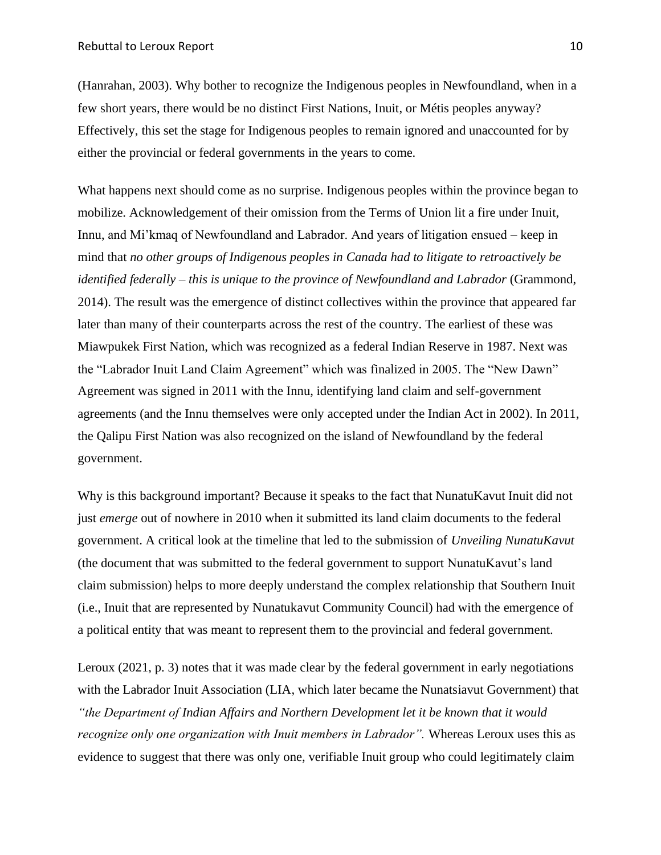(Hanrahan, 2003). Why bother to recognize the Indigenous peoples in Newfoundland, when in a few short years, there would be no distinct First Nations, Inuit, or Métis peoples anyway? Effectively, this set the stage for Indigenous peoples to remain ignored and unaccounted for by either the provincial or federal governments in the years to come.

What happens next should come as no surprise. Indigenous peoples within the province began to mobilize. Acknowledgement of their omission from the Terms of Union lit a fire under Inuit, Innu, and Mi'kmaq of Newfoundland and Labrador. And years of litigation ensued – keep in mind that *no other groups of Indigenous peoples in Canada had to litigate to retroactively be identified federally – this is unique to the province of Newfoundland and Labrador* (Grammond, 2014). The result was the emergence of distinct collectives within the province that appeared far later than many of their counterparts across the rest of the country. The earliest of these was Miawpukek First Nation, which was recognized as a federal Indian Reserve in 1987. Next was the "Labrador Inuit Land Claim Agreement" which was finalized in 2005. The "New Dawn" Agreement was signed in 2011 with the Innu, identifying land claim and self-government agreements (and the Innu themselves were only accepted under the Indian Act in 2002). In 2011, the Qalipu First Nation was also recognized on the island of Newfoundland by the federal government.

Why is this background important? Because it speaks to the fact that NunatuKavut Inuit did not just *emerge* out of nowhere in 2010 when it submitted its land claim documents to the federal government. A critical look at the timeline that led to the submission of *Unveiling NunatuKavut*  (the document that was submitted to the federal government to support NunatuKavut's land claim submission) helps to more deeply understand the complex relationship that Southern Inuit (i.e., Inuit that are represented by Nunatukavut Community Council) had with the emergence of a political entity that was meant to represent them to the provincial and federal government.

Leroux (2021, p. 3) notes that it was made clear by the federal government in early negotiations with the Labrador Inuit Association (LIA, which later became the Nunatsiavut Government) that *"the Department of Indian Affairs and Northern Development let it be known that it would recognize only one organization with Inuit members in Labrador"*. Whereas Leroux uses this as evidence to suggest that there was only one, verifiable Inuit group who could legitimately claim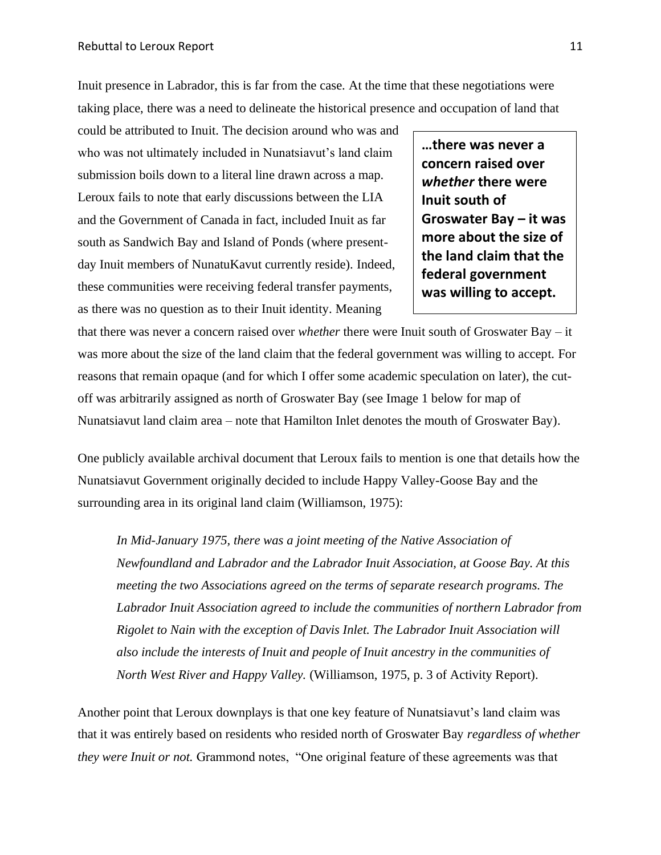Inuit presence in Labrador, this is far from the case. At the time that these negotiations were taking place, there was a need to delineate the historical presence and occupation of land that

could be attributed to Inuit. The decision around who was and who was not ultimately included in Nunatsiavut's land claim submission boils down to a literal line drawn across a map. Leroux fails to note that early discussions between the LIA and the Government of Canada in fact, included Inuit as far south as Sandwich Bay and Island of Ponds (where presentday Inuit members of NunatuKavut currently reside). Indeed, these communities were receiving federal transfer payments, as there was no question as to their Inuit identity. Meaning

**…there was never a concern raised over**  *whether* **there were Inuit south of Groswater Bay – it was more about the size of the land claim that the federal government was willing to accept.**

that there was never a concern raised over *whether* there were Inuit south of Groswater Bay – it was more about the size of the land claim that the federal government was willing to accept. For reasons that remain opaque (and for which I offer some academic speculation on later), the cutoff was arbitrarily assigned as north of Groswater Bay (see Image 1 below for map of Nunatsiavut land claim area – note that Hamilton Inlet denotes the mouth of Groswater Bay).

One publicly available archival document that Leroux fails to mention is one that details how the Nunatsiavut Government originally decided to include Happy Valley-Goose Bay and the surrounding area in its original land claim (Williamson, 1975):

*In Mid-January 1975, there was a joint meeting of the Native Association of Newfoundland and Labrador and the Labrador Inuit Association, at Goose Bay. At this meeting the two Associations agreed on the terms of separate research programs. The Labrador Inuit Association agreed to include the communities of northern Labrador from Rigolet to Nain with the exception of Davis Inlet. The Labrador Inuit Association will also include the interests of Inuit and people of Inuit ancestry in the communities of North West River and Happy Valley.* (Williamson, 1975, p. 3 of Activity Report).

Another point that Leroux downplays is that one key feature of Nunatsiavut's land claim was that it was entirely based on residents who resided north of Groswater Bay *regardless of whether they were Inuit or not.* Grammond notes, "One original feature of these agreements was that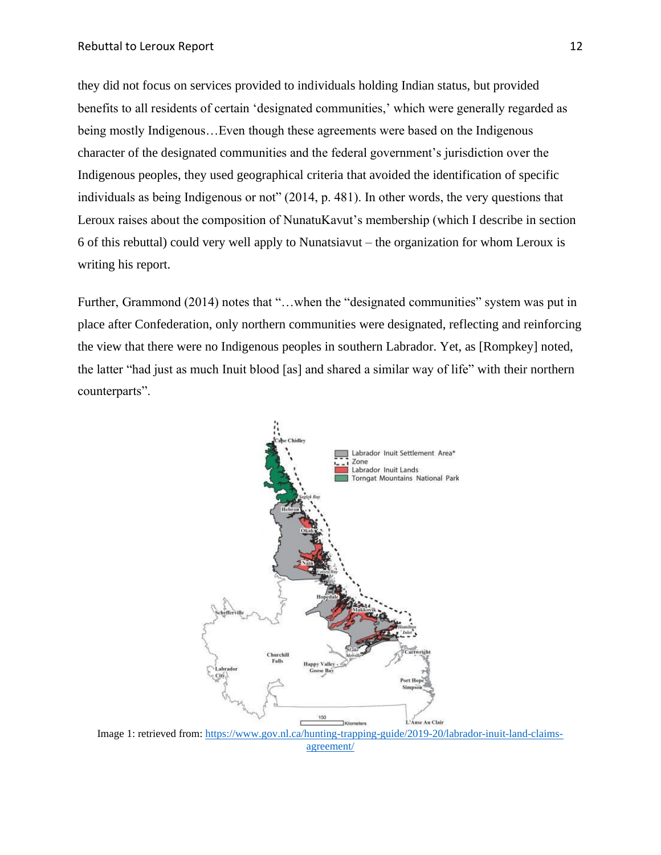they did not focus on services provided to individuals holding Indian status, but provided benefits to all residents of certain 'designated communities,' which were generally regarded as being mostly Indigenous…Even though these agreements were based on the Indigenous character of the designated communities and the federal government's jurisdiction over the Indigenous peoples, they used geographical criteria that avoided the identification of specific individuals as being Indigenous or not" (2014, p. 481). In other words, the very questions that Leroux raises about the composition of NunatuKavut's membership (which I describe in section 6 of this rebuttal) could very well apply to Nunatsiavut – the organization for whom Leroux is writing his report.

Further, Grammond (2014) notes that "...when the "designated communities" system was put in place after Confederation, only northern communities were designated, reflecting and reinforcing the view that there were no Indigenous peoples in southern Labrador. Yet, as [Rompkey] noted, the latter "had just as much Inuit blood [as] and shared a similar way of life" with their northern counterparts".



Image 1: retrieved from: [https://www.gov.nl.ca/hunting-trapping-guide/2019-20/labrador-inuit-land-claims](https://www.gov.nl.ca/hunting-trapping-guide/2019-20/labrador-inuit-land-claims-agreement/)[agreement/](https://www.gov.nl.ca/hunting-trapping-guide/2019-20/labrador-inuit-land-claims-agreement/)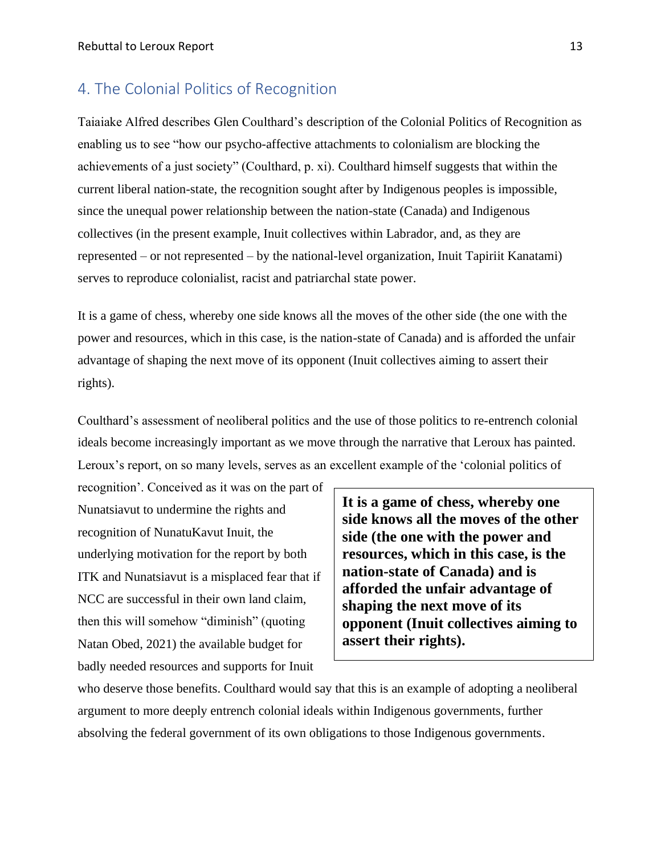#### <span id="page-13-0"></span>4. The Colonial Politics of Recognition

Taiaiake Alfred describes Glen Coulthard's description of the Colonial Politics of Recognition as enabling us to see "how our psycho-affective attachments to colonialism are blocking the achievements of a just society" (Coulthard, p. xi). Coulthard himself suggests that within the current liberal nation-state, the recognition sought after by Indigenous peoples is impossible, since the unequal power relationship between the nation-state (Canada) and Indigenous collectives (in the present example, Inuit collectives within Labrador, and, as they are represented – or not represented – by the national-level organization, Inuit Tapiriit Kanatami) serves to reproduce colonialist, racist and patriarchal state power.

It is a game of chess, whereby one side knows all the moves of the other side (the one with the power and resources, which in this case, is the nation-state of Canada) and is afforded the unfair advantage of shaping the next move of its opponent (Inuit collectives aiming to assert their rights).

Coulthard's assessment of neoliberal politics and the use of those politics to re-entrench colonial ideals become increasingly important as we move through the narrative that Leroux has painted. Leroux's report, on so many levels, serves as an excellent example of the 'colonial politics of

recognition'. Conceived as it was on the part of Nunatsiavut to undermine the rights and recognition of NunatuKavut Inuit, the underlying motivation for the report by both ITK and Nunatsiavut is a misplaced fear that if NCC are successful in their own land claim, then this will somehow "diminish" (quoting Natan Obed, 2021) the available budget for badly needed resources and supports for Inuit

**It is a game of chess, whereby one side knows all the moves of the other side (the one with the power and resources, which in this case, is the nation-state of Canada) and is afforded the unfair advantage of shaping the next move of its opponent (Inuit collectives aiming to assert their rights).** 

who deserve those benefits. Coulthard would say that this is an example of adopting a neoliberal argument to more deeply entrench colonial ideals within Indigenous governments, further absolving the federal government of its own obligations to those Indigenous governments.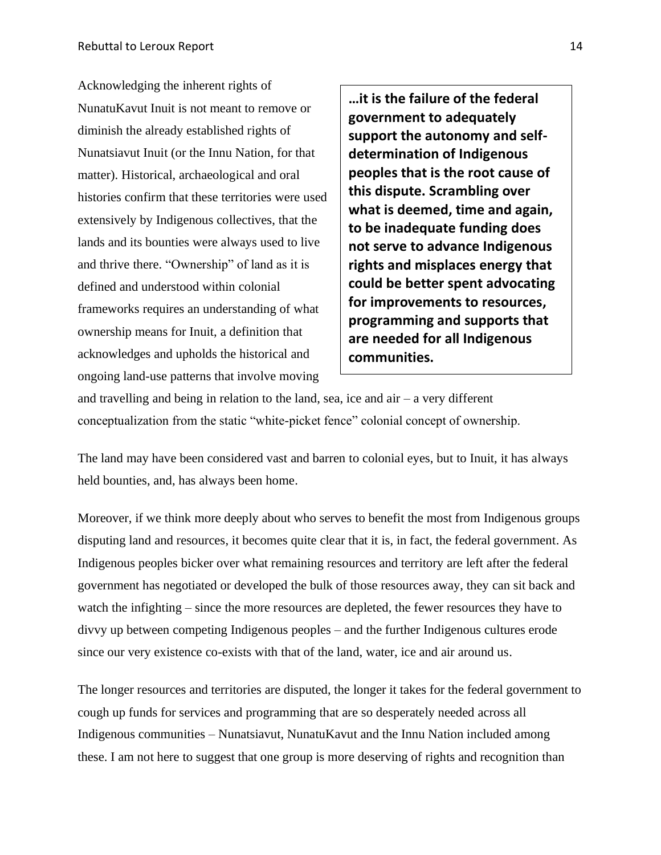Acknowledging the inherent rights of NunatuKavut Inuit is not meant to remove or diminish the already established rights of Nunatsiavut Inuit (or the Innu Nation, for that matter). Historical, archaeological and oral histories confirm that these territories were used extensively by Indigenous collectives, that the lands and its bounties were always used to live and thrive there. "Ownership" of land as it is defined and understood within colonial frameworks requires an understanding of what ownership means for Inuit, a definition that acknowledges and upholds the historical and ongoing land-use patterns that involve moving

**…it is the failure of the federal government to adequately support the autonomy and selfdetermination of Indigenous peoples that is the root cause of this dispute. Scrambling over what is deemed, time and again, to be inadequate funding does not serve to advance Indigenous rights and misplaces energy that could be better spent advocating for improvements to resources, programming and supports that are needed for all Indigenous communities.**

and travelling and being in relation to the land, sea, ice and air – a very different conceptualization from the static "white-picket fence" colonial concept of ownership.

The land may have been considered vast and barren to colonial eyes, but to Inuit, it has always held bounties, and, has always been home.

Moreover, if we think more deeply about who serves to benefit the most from Indigenous groups disputing land and resources, it becomes quite clear that it is, in fact, the federal government. As Indigenous peoples bicker over what remaining resources and territory are left after the federal government has negotiated or developed the bulk of those resources away, they can sit back and watch the infighting – since the more resources are depleted, the fewer resources they have to divvy up between competing Indigenous peoples – and the further Indigenous cultures erode since our very existence co-exists with that of the land, water, ice and air around us.

The longer resources and territories are disputed, the longer it takes for the federal government to cough up funds for services and programming that are so desperately needed across all Indigenous communities – Nunatsiavut, NunatuKavut and the Innu Nation included among these. I am not here to suggest that one group is more deserving of rights and recognition than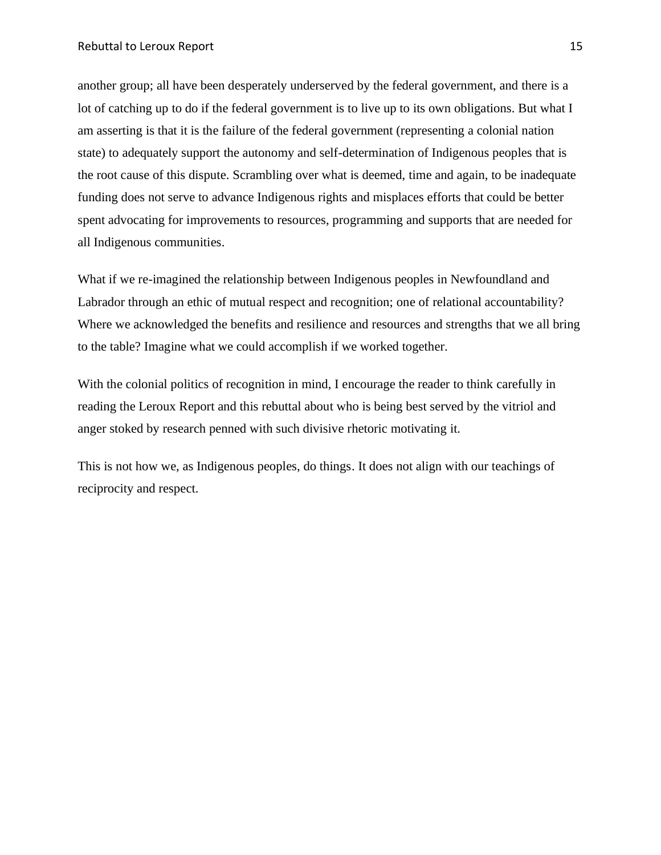another group; all have been desperately underserved by the federal government, and there is a lot of catching up to do if the federal government is to live up to its own obligations. But what I am asserting is that it is the failure of the federal government (representing a colonial nation state) to adequately support the autonomy and self-determination of Indigenous peoples that is the root cause of this dispute. Scrambling over what is deemed, time and again, to be inadequate funding does not serve to advance Indigenous rights and misplaces efforts that could be better spent advocating for improvements to resources, programming and supports that are needed for all Indigenous communities.

What if we re-imagined the relationship between Indigenous peoples in Newfoundland and Labrador through an ethic of mutual respect and recognition; one of relational accountability? Where we acknowledged the benefits and resilience and resources and strengths that we all bring to the table? Imagine what we could accomplish if we worked together.

With the colonial politics of recognition in mind, I encourage the reader to think carefully in reading the Leroux Report and this rebuttal about who is being best served by the vitriol and anger stoked by research penned with such divisive rhetoric motivating it.

This is not how we, as Indigenous peoples, do things. It does not align with our teachings of reciprocity and respect.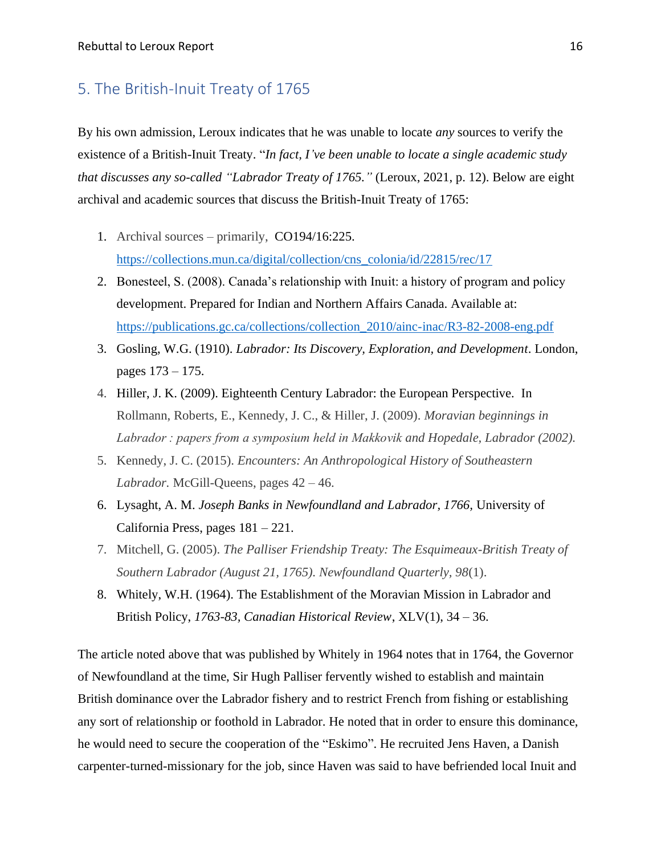#### <span id="page-16-0"></span>5. The British-Inuit Treaty of 1765

By his own admission, Leroux indicates that he was unable to locate *any* sources to verify the existence of a British-Inuit Treaty. "*In fact, I've been unable to locate a single academic study that discusses any so-called "Labrador Treaty of 1765."* (Leroux, 2021, p. 12). Below are eight archival and academic sources that discuss the British-Inuit Treaty of 1765:

- 1. Archival sources primarily, CO194/16:225. [https://collections.mun.ca/digital/collection/cns\\_colonia/id/22815/rec/17](https://collections.mun.ca/digital/collection/cns_colonia/id/22815/rec/17)
- 2. Bonesteel, S. (2008). Canada's relationship with Inuit: a history of program and policy development. Prepared for Indian and Northern Affairs Canada. Available at: [https://publications.gc.ca/collections/collection\\_2010/ainc-inac/R3-82-2008-eng.pdf](https://publications.gc.ca/collections/collection_2010/ainc-inac/R3-82-2008-eng.pdf)
- 3. Gosling, W.G. (1910). *Labrador: Its Discovery, Exploration, and Development*. London, pages 173 – 175.
- 4. Hiller, J. K. (2009). Eighteenth Century Labrador: the European Perspective*.* In Rollmann, Roberts, E., Kennedy, J. C., & Hiller, J. (2009). *Moravian beginnings in Labrador : papers from a symposium held in Makkovik and Hopedale, Labrador (2002).*
- 5. Kennedy, J. C. (2015). *Encounters: An Anthropological History of Southeastern Labrador.* McGill-Queens, pages 42 – 46.
- 6. Lysaght, A. M. *Joseph Banks in Newfoundland and Labrador, 1766,* University of California Press, pages 181 – 221.
- 7. Mitchell, G. (2005). *The Palliser Friendship Treaty: The Esquimeaux-British Treaty of Southern Labrador (August 21, 1765). Newfoundland Quarterly, 98*(1).
- 8. Whitely, W.H. (1964). The Establishment of the Moravian Mission in Labrador and British Policy, *1763-83, Canadian Historical Review*, XLV(1), 34 – 36.

The article noted above that was published by Whitely in 1964 notes that in 1764, the Governor of Newfoundland at the time, Sir Hugh Palliser fervently wished to establish and maintain British dominance over the Labrador fishery and to restrict French from fishing or establishing any sort of relationship or foothold in Labrador. He noted that in order to ensure this dominance, he would need to secure the cooperation of the "Eskimo". He recruited Jens Haven, a Danish carpenter-turned-missionary for the job, since Haven was said to have befriended local Inuit and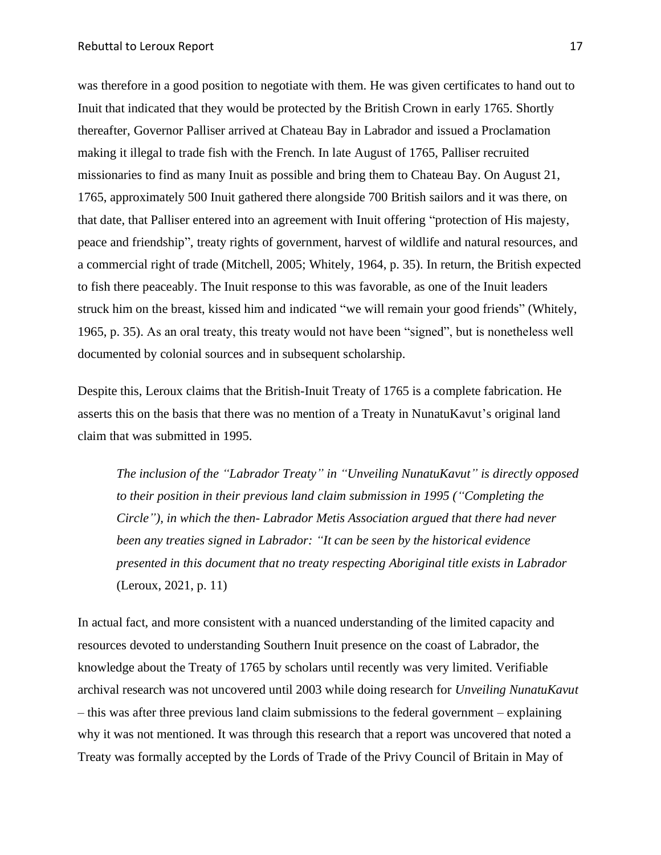was therefore in a good position to negotiate with them. He was given certificates to hand out to Inuit that indicated that they would be protected by the British Crown in early 1765. Shortly thereafter, Governor Palliser arrived at Chateau Bay in Labrador and issued a Proclamation making it illegal to trade fish with the French. In late August of 1765, Palliser recruited missionaries to find as many Inuit as possible and bring them to Chateau Bay. On August 21, 1765, approximately 500 Inuit gathered there alongside 700 British sailors and it was there, on that date, that Palliser entered into an agreement with Inuit offering "protection of His majesty, peace and friendship", treaty rights of government, harvest of wildlife and natural resources, and a commercial right of trade (Mitchell, 2005; Whitely, 1964, p. 35). In return, the British expected to fish there peaceably. The Inuit response to this was favorable, as one of the Inuit leaders struck him on the breast, kissed him and indicated "we will remain your good friends" (Whitely, 1965, p. 35). As an oral treaty, this treaty would not have been "signed", but is nonetheless well documented by colonial sources and in subsequent scholarship.

Despite this, Leroux claims that the British-Inuit Treaty of 1765 is a complete fabrication. He asserts this on the basis that there was no mention of a Treaty in NunatuKavut's original land claim that was submitted in 1995.

*The inclusion of the "Labrador Treaty" in "Unveiling NunatuKavut" is directly opposed to their position in their previous land claim submission in 1995 ("Completing the Circle"), in which the then- Labrador Metis Association argued that there had never been any treaties signed in Labrador: "It can be seen by the historical evidence presented in this document that no treaty respecting Aboriginal title exists in Labrador* (Leroux, 2021, p. 11)

In actual fact, and more consistent with a nuanced understanding of the limited capacity and resources devoted to understanding Southern Inuit presence on the coast of Labrador, the knowledge about the Treaty of 1765 by scholars until recently was very limited. Verifiable archival research was not uncovered until 2003 while doing research for *Unveiling NunatuKavut* – this was after three previous land claim submissions to the federal government – explaining why it was not mentioned. It was through this research that a report was uncovered that noted a Treaty was formally accepted by the Lords of Trade of the Privy Council of Britain in May of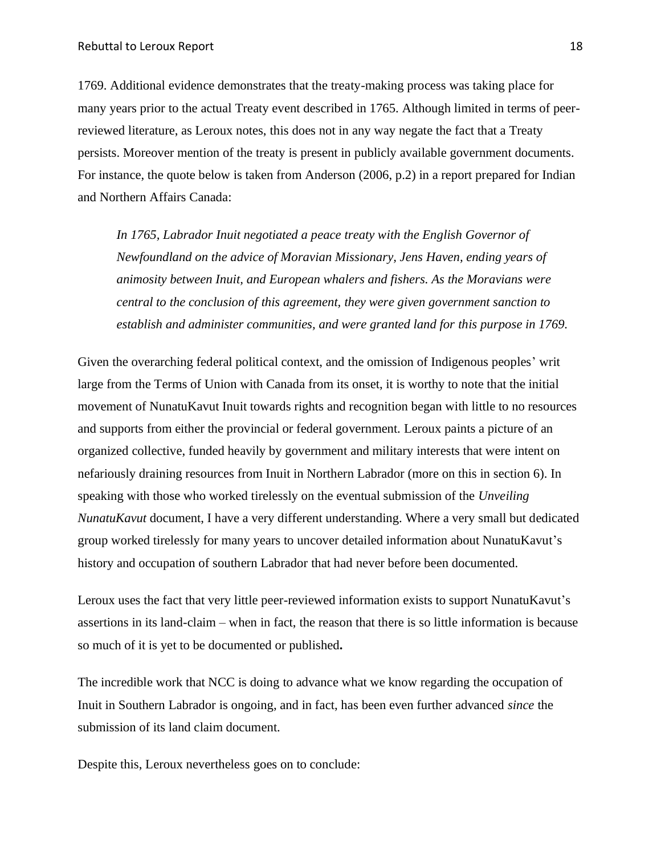1769. Additional evidence demonstrates that the treaty-making process was taking place for many years prior to the actual Treaty event described in 1765. Although limited in terms of peerreviewed literature, as Leroux notes, this does not in any way negate the fact that a Treaty persists. Moreover mention of the treaty is present in publicly available government documents. For instance, the quote below is taken from Anderson (2006, p.2) in a report prepared for Indian and Northern Affairs Canada:

In 1765, Labrador Inuit negotiated a peace treaty with the English Governor of *Newfoundland on the advice of Moravian Missionary, Jens Haven, ending years of animosity between Inuit, and European whalers and fishers. As the Moravians were central to the conclusion of this agreement, they were given government sanction to establish and administer communities, and were granted land for this purpose in 1769.* 

Given the overarching federal political context, and the omission of Indigenous peoples' writ large from the Terms of Union with Canada from its onset, it is worthy to note that the initial movement of NunatuKavut Inuit towards rights and recognition began with little to no resources and supports from either the provincial or federal government. Leroux paints a picture of an organized collective, funded heavily by government and military interests that were intent on nefariously draining resources from Inuit in Northern Labrador (more on this in section 6). In speaking with those who worked tirelessly on the eventual submission of the *Unveiling NunatuKavut* document, I have a very different understanding. Where a very small but dedicated group worked tirelessly for many years to uncover detailed information about NunatuKavut's history and occupation of southern Labrador that had never before been documented.

Leroux uses the fact that very little peer-reviewed information exists to support NunatuKavut's assertions in its land-claim – when in fact, the reason that there is so little information is because so much of it is yet to be documented or published**.**

The incredible work that NCC is doing to advance what we know regarding the occupation of Inuit in Southern Labrador is ongoing, and in fact, has been even further advanced *since* the submission of its land claim document.

Despite this, Leroux nevertheless goes on to conclude: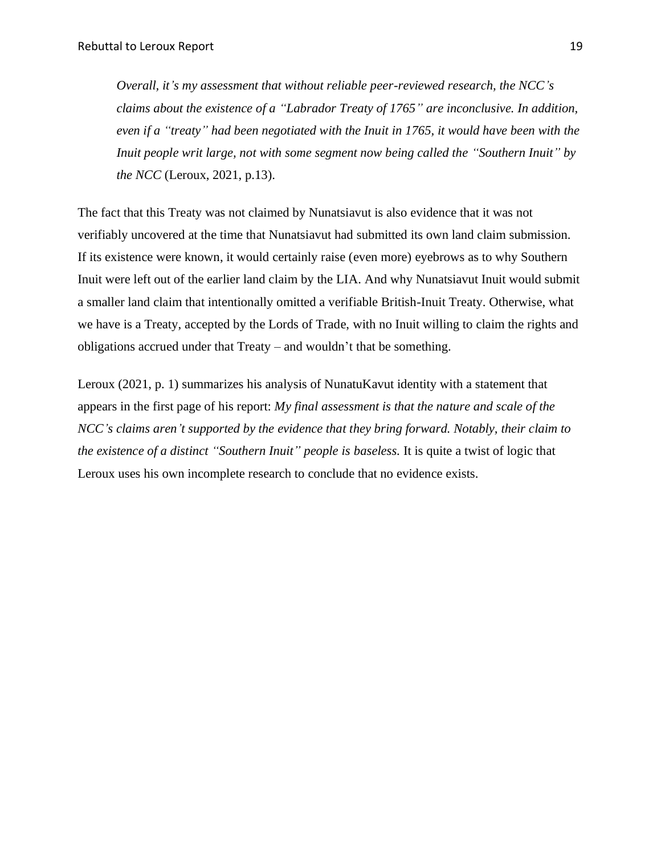*Overall, it's my assessment that without reliable peer-reviewed research, the NCC's claims about the existence of a "Labrador Treaty of 1765" are inconclusive. In addition, even if a "treaty" had been negotiated with the Inuit in 1765, it would have been with the Inuit people writ large, not with some segment now being called the "Southern Inuit" by the NCC* (Leroux, 2021, p.13).

The fact that this Treaty was not claimed by Nunatsiavut is also evidence that it was not verifiably uncovered at the time that Nunatsiavut had submitted its own land claim submission. If its existence were known, it would certainly raise (even more) eyebrows as to why Southern Inuit were left out of the earlier land claim by the LIA. And why Nunatsiavut Inuit would submit a smaller land claim that intentionally omitted a verifiable British-Inuit Treaty. Otherwise, what we have is a Treaty, accepted by the Lords of Trade, with no Inuit willing to claim the rights and obligations accrued under that Treaty – and wouldn't that be something.

Leroux (2021, p. 1) summarizes his analysis of NunatuKavut identity with a statement that appears in the first page of his report: *My final assessment is that the nature and scale of the NCC's claims aren't supported by the evidence that they bring forward. Notably, their claim to the existence of a distinct "Southern Inuit" people is baseless.* It is quite a twist of logic that Leroux uses his own incomplete research to conclude that no evidence exists.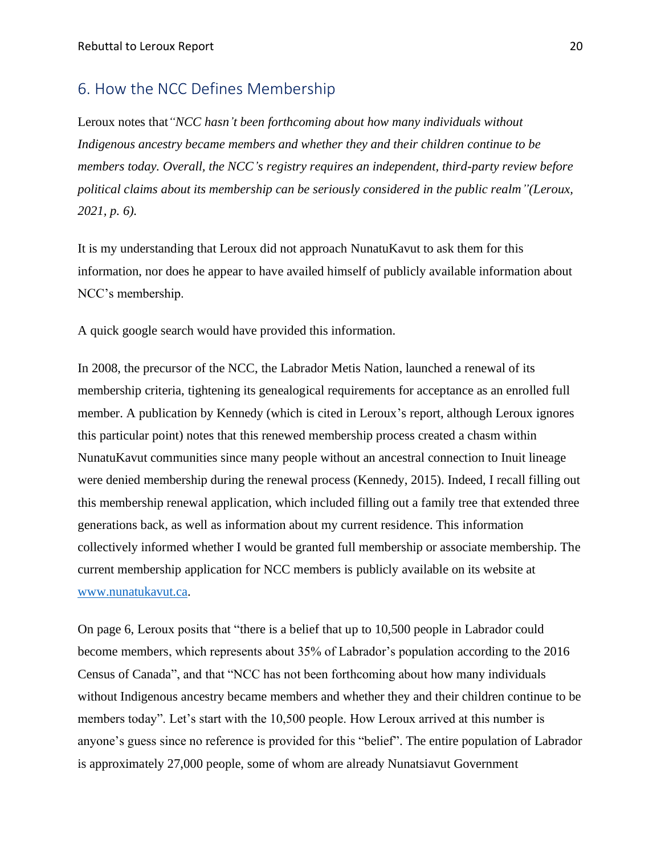#### <span id="page-20-0"></span>6. How the NCC Defines Membership

Leroux notes that*"NCC hasn't been forthcoming about how many individuals without Indigenous ancestry became members and whether they and their children continue to be members today. Overall, the NCC's registry requires an independent, third-party review before political claims about its membership can be seriously considered in the public realm"(Leroux, 2021, p. 6).* 

It is my understanding that Leroux did not approach NunatuKavut to ask them for this information, nor does he appear to have availed himself of publicly available information about NCC's membership.

A quick google search would have provided this information.

In 2008, the precursor of the NCC, the Labrador Metis Nation, launched a renewal of its membership criteria, tightening its genealogical requirements for acceptance as an enrolled full member. A publication by Kennedy (which is cited in Leroux's report, although Leroux ignores this particular point) notes that this renewed membership process created a chasm within NunatuKavut communities since many people without an ancestral connection to Inuit lineage were denied membership during the renewal process (Kennedy, 2015). Indeed, I recall filling out this membership renewal application, which included filling out a family tree that extended three generations back, as well as information about my current residence. This information collectively informed whether I would be granted full membership or associate membership. The current membership application for NCC members is publicly available on its website at [www.nunatukavut.ca.](http://www.nunatukavut.ca/)

On page 6, Leroux posits that "there is a belief that up to 10,500 people in Labrador could become members, which represents about 35% of Labrador's population according to the 2016 Census of Canada", and that "NCC has not been forthcoming about how many individuals without Indigenous ancestry became members and whether they and their children continue to be members today". Let's start with the 10,500 people. How Leroux arrived at this number is anyone's guess since no reference is provided for this "belief". The entire population of Labrador is approximately 27,000 people, some of whom are already Nunatsiavut Government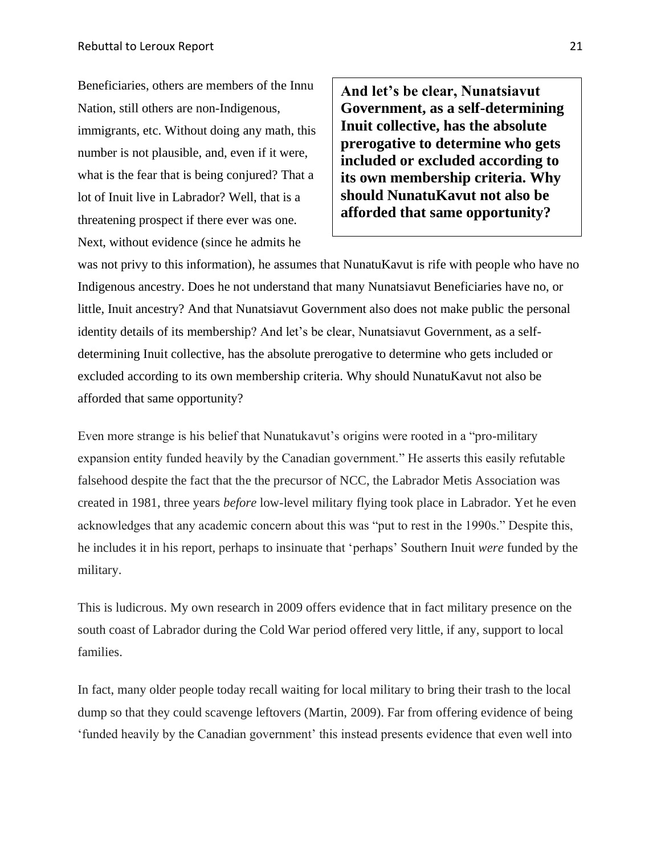Beneficiaries, others are members of the Innu Nation, still others are non-Indigenous, immigrants, etc. Without doing any math, this number is not plausible, and, even if it were, what is the fear that is being conjured? That a lot of Inuit live in Labrador? Well, that is a threatening prospect if there ever was one. Next, without evidence (since he admits he

**And let's be clear, Nunatsiavut Government, as a self-determining Inuit collective, has the absolute prerogative to determine who gets included or excluded according to its own membership criteria. Why should NunatuKavut not also be afforded that same opportunity?**

was not privy to this information), he assumes that NunatuKavut is rife with people who have no Indigenous ancestry. Does he not understand that many Nunatsiavut Beneficiaries have no, or little, Inuit ancestry? And that Nunatsiavut Government also does not make public the personal identity details of its membership? And let's be clear, Nunatsiavut Government, as a selfdetermining Inuit collective, has the absolute prerogative to determine who gets included or excluded according to its own membership criteria. Why should NunatuKavut not also be afforded that same opportunity?

Even more strange is his belief that Nunatukavut's origins were rooted in a "pro-military expansion entity funded heavily by the Canadian government." He asserts this easily refutable falsehood despite the fact that the the precursor of NCC, the Labrador Metis Association was created in 1981, three years *before* low-level military flying took place in Labrador. Yet he even acknowledges that any academic concern about this was "put to rest in the 1990s." Despite this, he includes it in his report, perhaps to insinuate that 'perhaps' Southern Inuit *were* funded by the military.

This is ludicrous. My own research in 2009 offers evidence that in fact military presence on the south coast of Labrador during the Cold War period offered very little, if any, support to local families.

In fact, many older people today recall waiting for local military to bring their trash to the local dump so that they could scavenge leftovers (Martin, 2009). Far from offering evidence of being 'funded heavily by the Canadian government' this instead presents evidence that even well into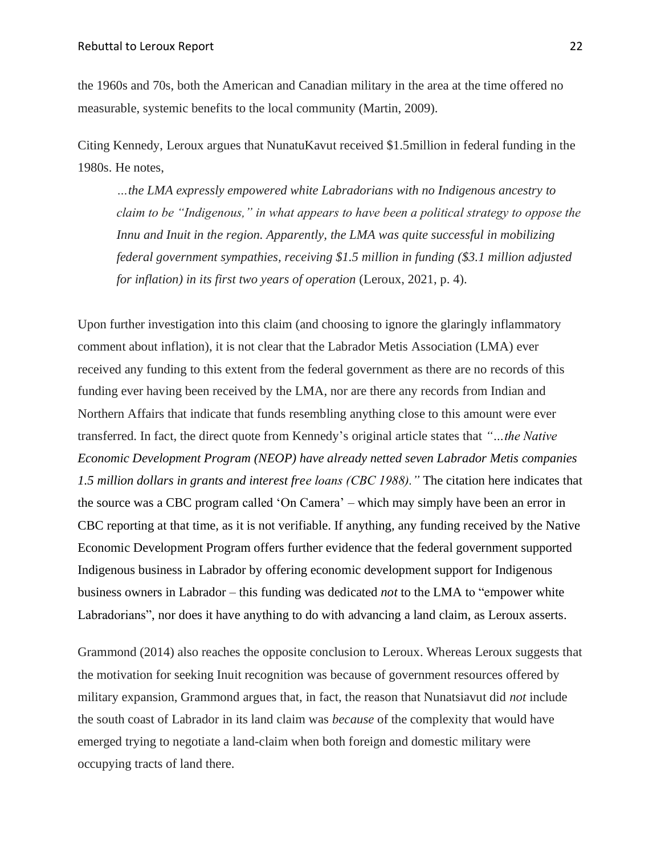the 1960s and 70s, both the American and Canadian military in the area at the time offered no measurable, systemic benefits to the local community (Martin, 2009).

Citing Kennedy, Leroux argues that NunatuKavut received \$1.5million in federal funding in the 1980s. He notes,

*…the LMA expressly empowered white Labradorians with no Indigenous ancestry to claim to be "Indigenous," in what appears to have been a political strategy to oppose the Innu and Inuit in the region. Apparently, the LMA was quite successful in mobilizing federal government sympathies, receiving \$1.5 million in funding (\$3.1 million adjusted for inflation) in its first two years of operation* (Leroux, 2021, p. 4).

Upon further investigation into this claim (and choosing to ignore the glaringly inflammatory comment about inflation), it is not clear that the Labrador Metis Association (LMA) ever received any funding to this extent from the federal government as there are no records of this funding ever having been received by the LMA, nor are there any records from Indian and Northern Affairs that indicate that funds resembling anything close to this amount were ever transferred. In fact, the direct quote from Kennedy's original article states that *"…the Native Economic Development Program (NEOP) have already netted seven Labrador Metis companies 1.5 million dollars in grants and interest free loans (CBC 1988)."* The citation here indicates that the source was a CBC program called 'On Camera' – which may simply have been an error in CBC reporting at that time, as it is not verifiable. If anything, any funding received by the Native Economic Development Program offers further evidence that the federal government supported Indigenous business in Labrador by offering economic development support for Indigenous business owners in Labrador – this funding was dedicated *not* to the LMA to "empower white Labradorians", nor does it have anything to do with advancing a land claim, as Leroux asserts.

Grammond (2014) also reaches the opposite conclusion to Leroux. Whereas Leroux suggests that the motivation for seeking Inuit recognition was because of government resources offered by military expansion, Grammond argues that, in fact, the reason that Nunatsiavut did *not* include the south coast of Labrador in its land claim was *because* of the complexity that would have emerged trying to negotiate a land-claim when both foreign and domestic military were occupying tracts of land there.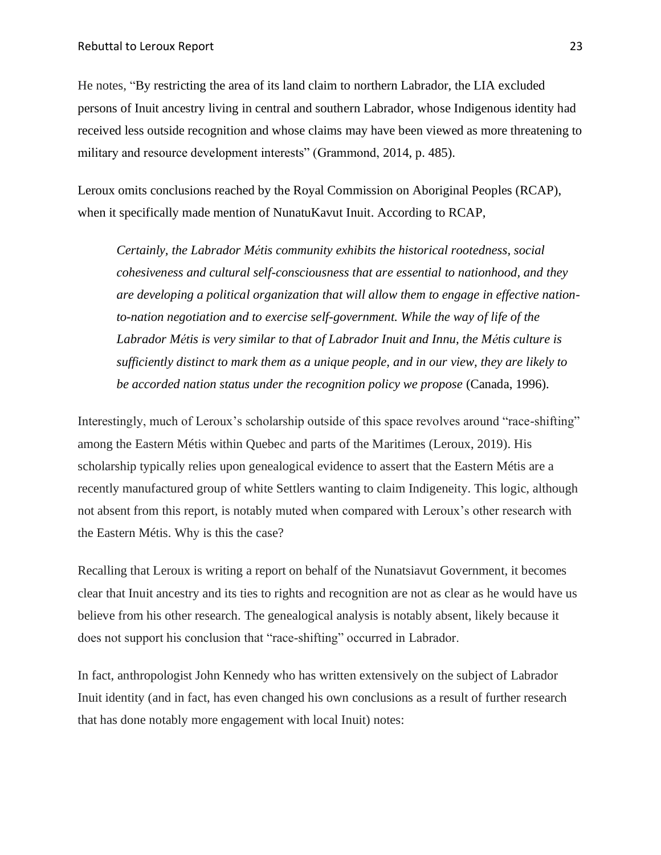He notes, "By restricting the area of its land claim to northern Labrador, the LIA excluded persons of Inuit ancestry living in central and southern Labrador, whose Indigenous identity had received less outside recognition and whose claims may have been viewed as more threatening to military and resource development interests" (Grammond, 2014, p. 485).

Leroux omits conclusions reached by the Royal Commission on Aboriginal Peoples (RCAP), when it specifically made mention of NunatuKavut Inuit. According to RCAP,

*Certainly, the Labrador Métis community exhibits the historical rootedness, social cohesiveness and cultural self-consciousness that are essential to nationhood, and they are developing a political organization that will allow them to engage in effective nationto-nation negotiation and to exercise self-government. While the way of life of the Labrador Métis is very similar to that of Labrador Inuit and Innu, the Métis culture is sufficiently distinct to mark them as a unique people, and in our view, they are likely to be accorded nation status under the recognition policy we propose* (Canada, 1996).

Interestingly, much of Leroux's scholarship outside of this space revolves around "race-shifting" among the Eastern Métis within Quebec and parts of the Maritimes (Leroux, 2019). His scholarship typically relies upon genealogical evidence to assert that the Eastern Métis are a recently manufactured group of white Settlers wanting to claim Indigeneity. This logic, although not absent from this report, is notably muted when compared with Leroux's other research with the Eastern Métis. Why is this the case?

Recalling that Leroux is writing a report on behalf of the Nunatsiavut Government, it becomes clear that Inuit ancestry and its ties to rights and recognition are not as clear as he would have us believe from his other research. The genealogical analysis is notably absent, likely because it does not support his conclusion that "race-shifting" occurred in Labrador.

In fact, anthropologist John Kennedy who has written extensively on the subject of Labrador Inuit identity (and in fact, has even changed his own conclusions as a result of further research that has done notably more engagement with local Inuit) notes: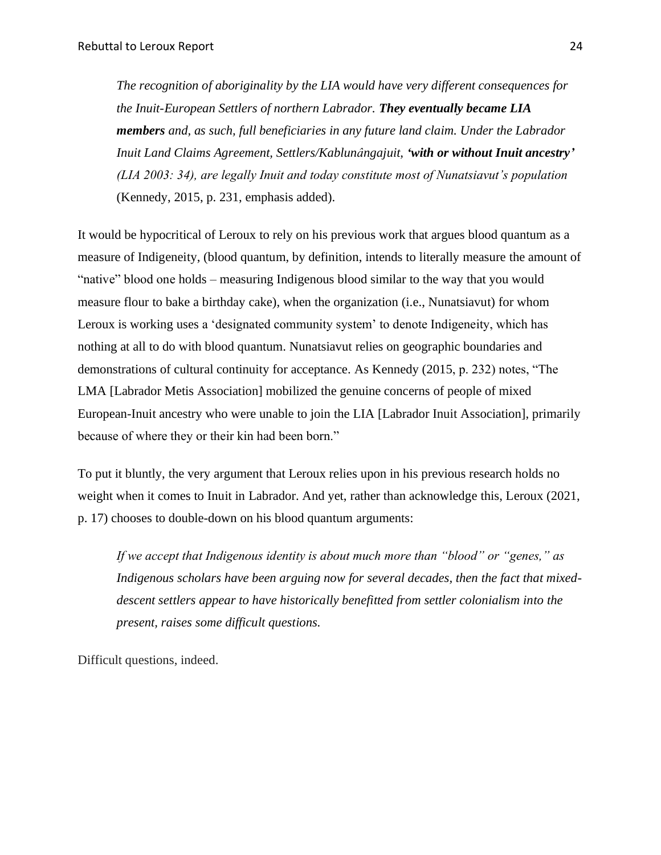*The recognition of aboriginality by the LIA would have very different consequences for the Inuit-European Settlers of northern Labrador. They eventually became LIA members and, as such, full beneficiaries in any future land claim. Under the Labrador Inuit Land Claims Agreement, Settlers/Kablunângajuit, 'with or without Inuit ancestry' (LIA 2003: 34), are legally Inuit and today constitute most of Nunatsiavut's population*  (Kennedy, 2015, p. 231, emphasis added).

It would be hypocritical of Leroux to rely on his previous work that argues blood quantum as a measure of Indigeneity, (blood quantum, by definition, intends to literally measure the amount of "native" blood one holds – measuring Indigenous blood similar to the way that you would measure flour to bake a birthday cake), when the organization (i.e., Nunatsiavut) for whom Leroux is working uses a 'designated community system' to denote Indigeneity, which has nothing at all to do with blood quantum. Nunatsiavut relies on geographic boundaries and demonstrations of cultural continuity for acceptance. As Kennedy (2015, p. 232) notes, "The LMA [Labrador Metis Association] mobilized the genuine concerns of people of mixed European-Inuit ancestry who were unable to join the LIA [Labrador Inuit Association], primarily because of where they or their kin had been born."

To put it bluntly, the very argument that Leroux relies upon in his previous research holds no weight when it comes to Inuit in Labrador. And yet, rather than acknowledge this, Leroux (2021, p. 17) chooses to double-down on his blood quantum arguments:

*If we accept that Indigenous identity is about much more than "blood" or "genes," as Indigenous scholars have been arguing now for several decades, then the fact that mixeddescent settlers appear to have historically benefitted from settler colonialism into the present, raises some difficult questions.* 

Difficult questions, indeed.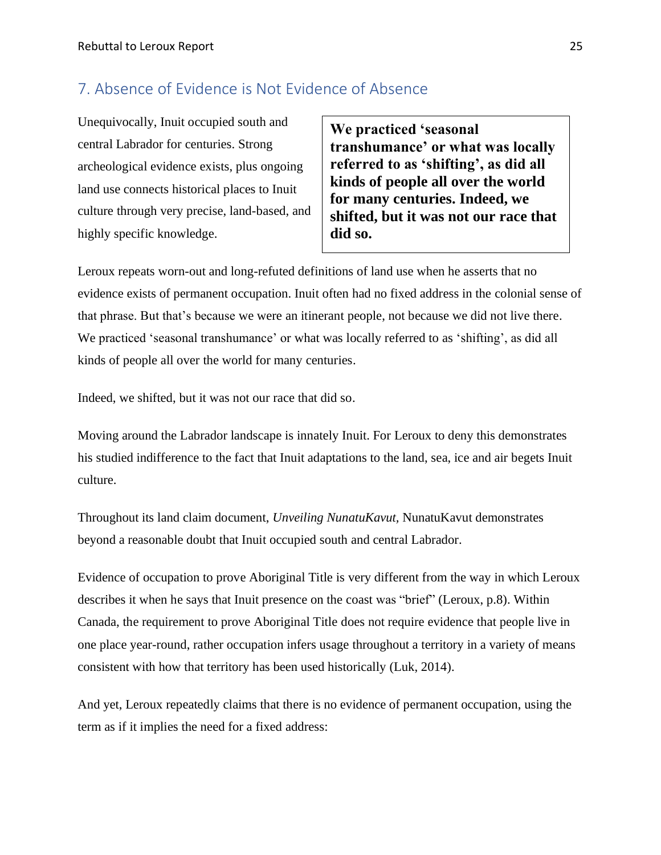### <span id="page-25-0"></span>7. Absence of Evidence is Not Evidence of Absence

Unequivocally, Inuit occupied south and central Labrador for centuries. Strong archeological evidence exists, plus ongoing land use connects historical places to Inuit culture through very precise, land-based, and highly specific knowledge.

**We practiced 'seasonal transhumance' or what was locally referred to as 'shifting', as did all kinds of people all over the world for many centuries. Indeed, we shifted, but it was not our race that did so.** 

Leroux repeats worn-out and long-refuted definitions of land use when he asserts that no evidence exists of permanent occupation. Inuit often had no fixed address in the colonial sense of that phrase. But that's because we were an itinerant people, not because we did not live there. We practiced 'seasonal transhumance' or what was locally referred to as 'shifting', as did all kinds of people all over the world for many centuries.

Indeed, we shifted, but it was not our race that did so.

Moving around the Labrador landscape is innately Inuit. For Leroux to deny this demonstrates his studied indifference to the fact that Inuit adaptations to the land, sea, ice and air begets Inuit culture.

Throughout its land claim document, *Unveiling NunatuKavut,* NunatuKavut demonstrates beyond a reasonable doubt that Inuit occupied south and central Labrador.

Evidence of occupation to prove Aboriginal Title is very different from the way in which Leroux describes it when he says that Inuit presence on the coast was "brief" (Leroux, p.8). Within Canada, the requirement to prove Aboriginal Title does not require evidence that people live in one place year-round, rather occupation infers usage throughout a territory in a variety of means consistent with how that territory has been used historically (Luk, 2014).

And yet, Leroux repeatedly claims that there is no evidence of permanent occupation, using the term as if it implies the need for a fixed address: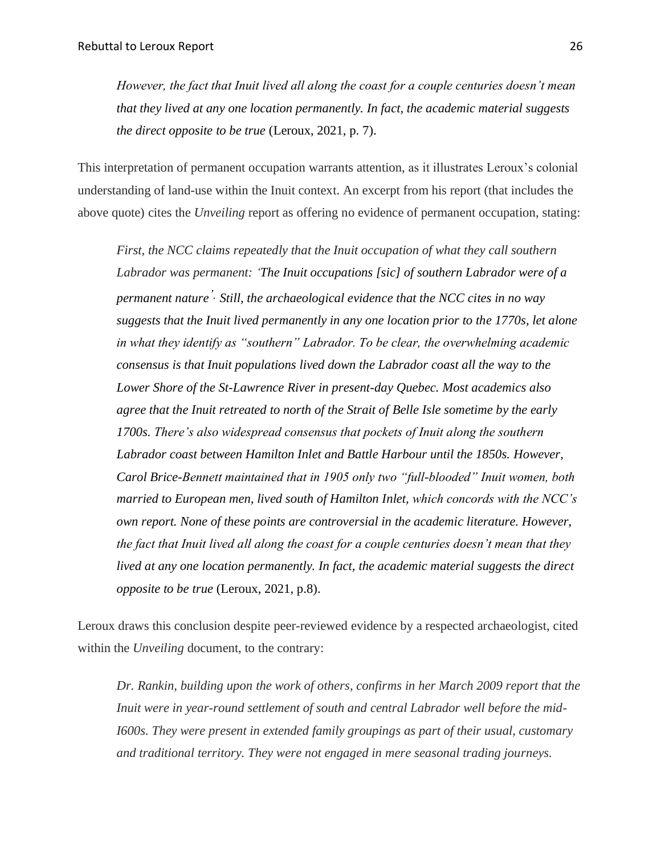*However, the fact that Inuit lived all along the coast for a couple centuries doesn't mean that they lived at any one location permanently. In fact, the academic material suggests the direct opposite to be true* (Leroux, 2021, p. 7).

This interpretation of permanent occupation warrants attention, as it illustrates Leroux's colonial understanding of land-use within the Inuit context. An excerpt from his report (that includes the above quote) cites the *Unveiling* report as offering no evidence of permanent occupation, stating:

*First, the NCC claims repeatedly that the Inuit occupation of what they call southern Labrador was permanent: 'The Inuit occupations [sic] of southern Labrador were of a permanent nature'. Still, the archaeological evidence that the NCC cites in no way suggests that the Inuit lived permanently in any one location prior to the 1770s, let alone in what they identify as "southern" Labrador. To be clear, the overwhelming academic consensus is that Inuit populations lived down the Labrador coast all the way to the Lower Shore of the St-Lawrence River in present-day Quebec. Most academics also agree that the Inuit retreated to north of the Strait of Belle Isle sometime by the early 1700s. There's also widespread consensus that pockets of Inuit along the southern Labrador coast between Hamilton Inlet and Battle Harbour until the 1850s. However, Carol Brice-Bennett maintained that in 1905 only two "full-blooded" Inuit women, both married to European men, lived south of Hamilton Inlet, which concords with the NCC's own report. None of these points are controversial in the academic literature. However, the fact that Inuit lived all along the coast for a couple centuries doesn't mean that they lived at any one location permanently. In fact, the academic material suggests the direct opposite to be true* (Leroux, 2021, p.8).

Leroux draws this conclusion despite peer-reviewed evidence by a respected archaeologist, cited within the *Unveiling* document, to the contrary:

*Dr. Rankin, building upon the work of others, confirms in her March 2009 report that the Inuit were in year-round settlement of south and central Labrador well before the mid-I600s. They were present in extended family groupings as part of their usual, customary and traditional territory. They were not engaged in mere seasonal trading journeys.*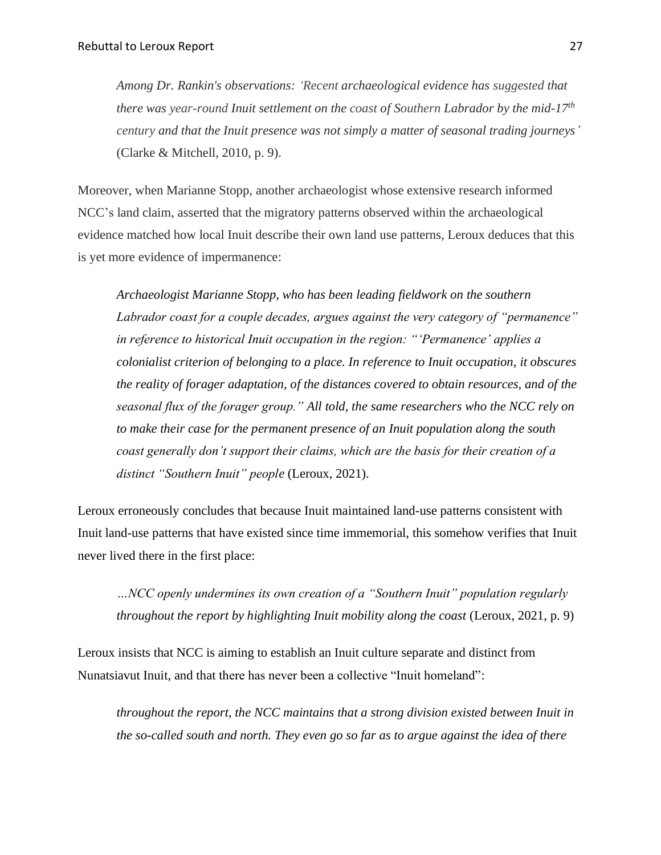*Among Dr. Rankin's observations: 'Recent archaeological evidence has suggested that there was year-round Inuit settlement on the coast of Southern Labrador by the mid-17th century and that the Inuit presence was not simply a matter of seasonal trading journeys'* (Clarke & Mitchell, 2010, p. 9).

Moreover, when Marianne Stopp, another archaeologist whose extensive research informed NCC's land claim, asserted that the migratory patterns observed within the archaeological evidence matched how local Inuit describe their own land use patterns, Leroux deduces that this is yet more evidence of impermanence:

*Archaeologist Marianne Stopp, who has been leading fieldwork on the southern Labrador coast for a couple decades, argues against the very category of "permanence" in reference to historical Inuit occupation in the region: "'Permanence' applies a colonialist criterion of belonging to a place. In reference to Inuit occupation, it obscures the reality of forager adaptation, of the distances covered to obtain resources, and of the seasonal flux of the forager group." All told, the same researchers who the NCC rely on to make their case for the permanent presence of an Inuit population along the south coast generally don't support their claims, which are the basis for their creation of a distinct "Southern Inuit" people* (Leroux, 2021).

Leroux erroneously concludes that because Inuit maintained land-use patterns consistent with Inuit land-use patterns that have existed since time immemorial, this somehow verifies that Inuit never lived there in the first place:

*…NCC openly undermines its own creation of a "Southern Inuit" population regularly throughout the report by highlighting Inuit mobility along the coast* (Leroux, 2021, p. 9)

Leroux insists that NCC is aiming to establish an Inuit culture separate and distinct from Nunatsiavut Inuit, and that there has never been a collective "Inuit homeland":

*throughout the report, the NCC maintains that a strong division existed between Inuit in the so-called south and north. They even go so far as to argue against the idea of there*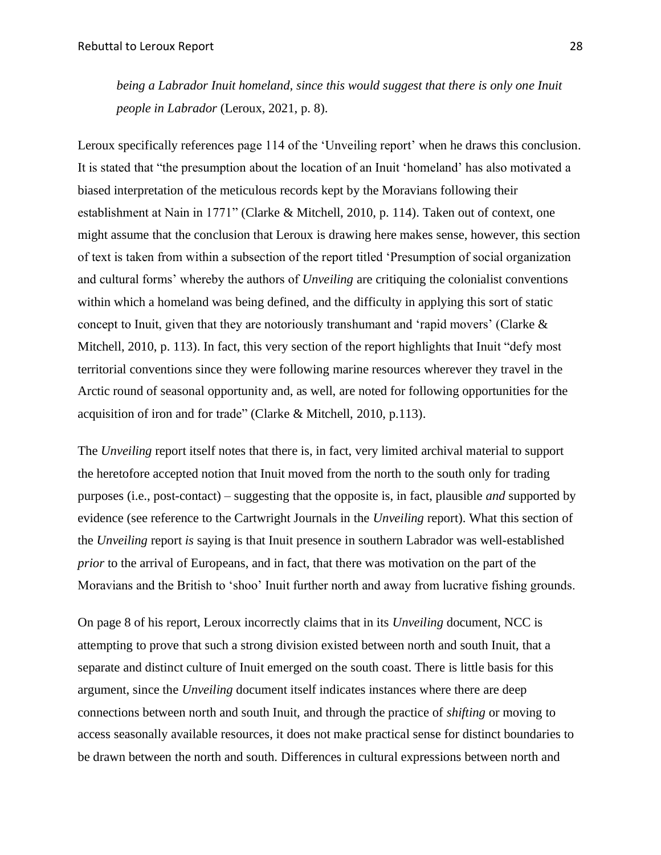being a Labrador Inuit homeland, since this would suggest that there is only one Inuit *people in Labrador* (Leroux, 2021, p. 8).

Leroux specifically references page 114 of the 'Unveiling report' when he draws this conclusion. It is stated that "the presumption about the location of an Inuit 'homeland' has also motivated a biased interpretation of the meticulous records kept by the Moravians following their establishment at Nain in 1771" (Clarke & Mitchell, 2010, p. 114). Taken out of context, one might assume that the conclusion that Leroux is drawing here makes sense, however, this section of text is taken from within a subsection of the report titled 'Presumption of social organization and cultural forms' whereby the authors of *Unveiling* are critiquing the colonialist conventions within which a homeland was being defined, and the difficulty in applying this sort of static concept to Inuit, given that they are notoriously transhumant and 'rapid movers' (Clarke & Mitchell, 2010, p. 113). In fact, this very section of the report highlights that Inuit "defy most territorial conventions since they were following marine resources wherever they travel in the Arctic round of seasonal opportunity and, as well, are noted for following opportunities for the acquisition of iron and for trade" (Clarke & Mitchell, 2010, p.113).

The *Unveiling* report itself notes that there is, in fact, very limited archival material to support the heretofore accepted notion that Inuit moved from the north to the south only for trading purposes (i.e., post-contact) – suggesting that the opposite is, in fact, plausible *and* supported by evidence (see reference to the Cartwright Journals in the *Unveiling* report). What this section of the *Unveiling* report *is* saying is that Inuit presence in southern Labrador was well-established *prior* to the arrival of Europeans, and in fact, that there was motivation on the part of the Moravians and the British to 'shoo' Inuit further north and away from lucrative fishing grounds.

On page 8 of his report, Leroux incorrectly claims that in its *Unveiling* document, NCC is attempting to prove that such a strong division existed between north and south Inuit, that a separate and distinct culture of Inuit emerged on the south coast. There is little basis for this argument, since the *Unveiling* document itself indicates instances where there are deep connections between north and south Inuit, and through the practice of *shifting* or moving to access seasonally available resources, it does not make practical sense for distinct boundaries to be drawn between the north and south. Differences in cultural expressions between north and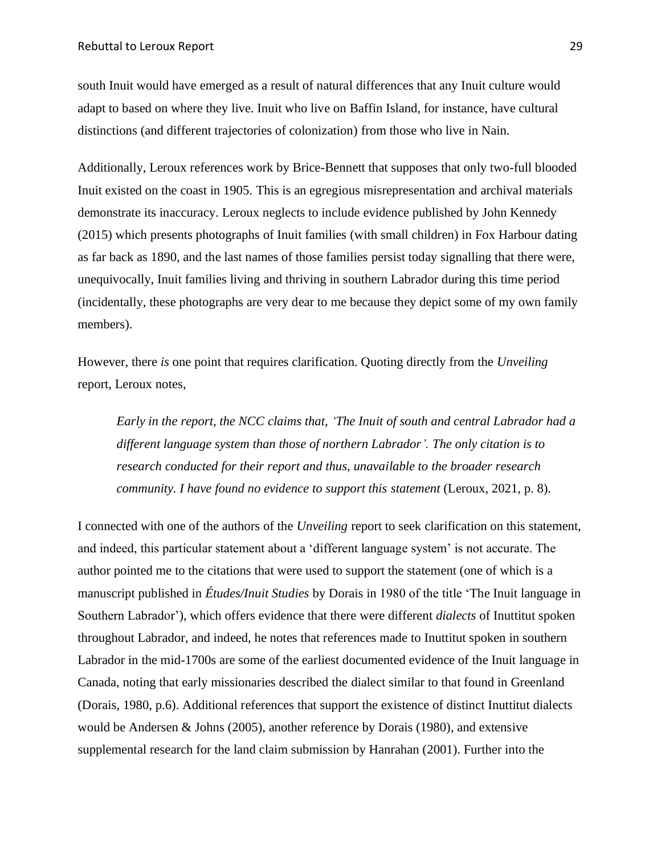south Inuit would have emerged as a result of natural differences that any Inuit culture would adapt to based on where they live. Inuit who live on Baffin Island, for instance, have cultural distinctions (and different trajectories of colonization) from those who live in Nain.

Additionally, Leroux references work by Brice-Bennett that supposes that only two-full blooded Inuit existed on the coast in 1905. This is an egregious misrepresentation and archival materials demonstrate its inaccuracy. Leroux neglects to include evidence published by John Kennedy (2015) which presents photographs of Inuit families (with small children) in Fox Harbour dating as far back as 1890, and the last names of those families persist today signalling that there were, unequivocally, Inuit families living and thriving in southern Labrador during this time period (incidentally, these photographs are very dear to me because they depict some of my own family members).

However, there *is* one point that requires clarification. Quoting directly from the *Unveiling*  report, Leroux notes,

*Early in the report, the NCC claims that, 'The Inuit of south and central Labrador had a different language system than those of northern Labrador'. The only citation is to research conducted for their report and thus, unavailable to the broader research community. I have found no evidence to support this statement* (Leroux, 2021, p. 8).

I connected with one of the authors of the *Unveiling* report to seek clarification on this statement, and indeed, this particular statement about a 'different language system' is not accurate. The author pointed me to the citations that were used to support the statement (one of which is a manuscript published in *Études/Inuit Studies* by Dorais in 1980 of the title 'The Inuit language in Southern Labrador'), which offers evidence that there were different *dialects* of Inuttitut spoken throughout Labrador, and indeed, he notes that references made to Inuttitut spoken in southern Labrador in the mid-1700s are some of the earliest documented evidence of the Inuit language in Canada, noting that early missionaries described the dialect similar to that found in Greenland (Dorais, 1980, p.6). Additional references that support the existence of distinct Inuttitut dialects would be Andersen & Johns (2005), another reference by Dorais (1980), and extensive supplemental research for the land claim submission by Hanrahan (2001). Further into the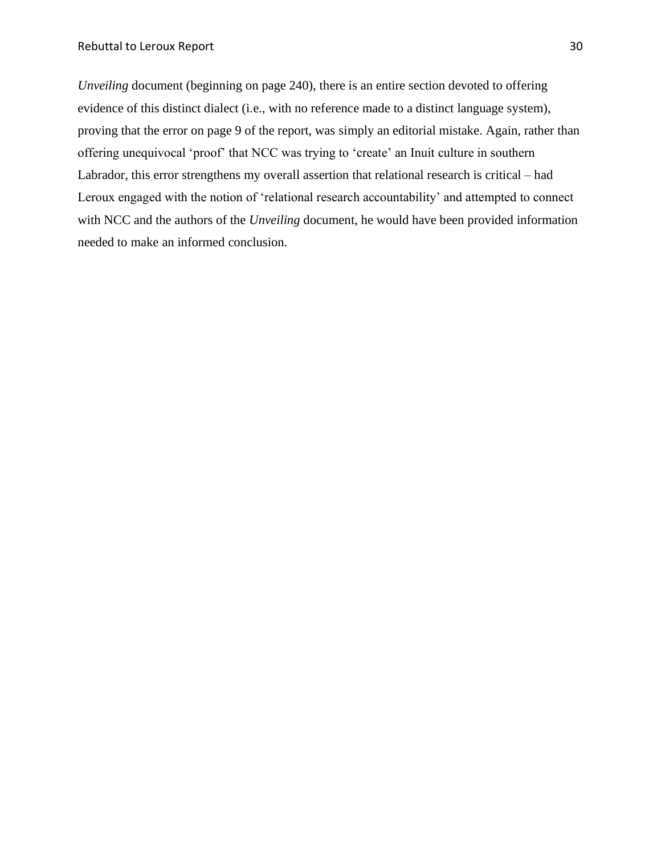*Unveiling* document (beginning on page 240), there is an entire section devoted to offering evidence of this distinct dialect (i.e., with no reference made to a distinct language system), proving that the error on page 9 of the report, was simply an editorial mistake. Again, rather than offering unequivocal 'proof' that NCC was trying to 'create' an Inuit culture in southern Labrador, this error strengthens my overall assertion that relational research is critical – had Leroux engaged with the notion of 'relational research accountability' and attempted to connect with NCC and the authors of the *Unveiling* document, he would have been provided information needed to make an informed conclusion.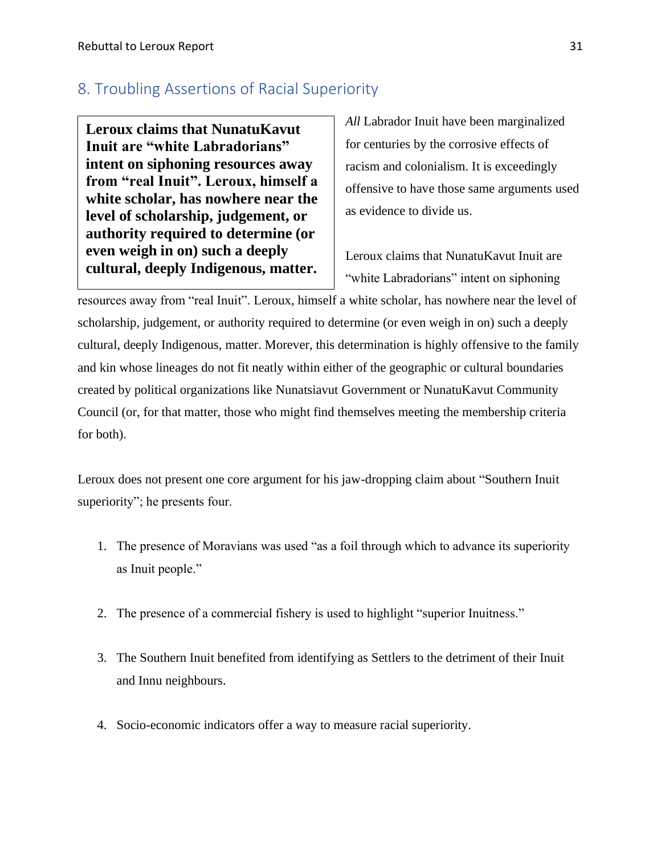### <span id="page-31-0"></span>8. Troubling Assertions of Racial Superiority

**Leroux claims that NunatuKavut Inuit are "white Labradorians" intent on siphoning resources away from "real Inuit". Leroux, himself a white scholar, has nowhere near the level of scholarship, judgement, or authority required to determine (or even weigh in on) such a deeply cultural, deeply Indigenous, matter.**

*All* Labrador Inuit have been marginalized for centuries by the corrosive effects of racism and colonialism. It is exceedingly offensive to have those same arguments used as evidence to divide us.

Leroux claims that NunatuKavut Inuit are "white Labradorians" intent on siphoning

resources away from "real Inuit". Leroux, himself a white scholar, has nowhere near the level of scholarship, judgement, or authority required to determine (or even weigh in on) such a deeply cultural, deeply Indigenous, matter. Morever, this determination is highly offensive to the family and kin whose lineages do not fit neatly within either of the geographic or cultural boundaries created by political organizations like Nunatsiavut Government or NunatuKavut Community Council (or, for that matter, those who might find themselves meeting the membership criteria for both).

Leroux does not present one core argument for his jaw-dropping claim about "Southern Inuit superiority"; he presents four.

- 1. The presence of Moravians was used "as a foil through which to advance its superiority as Inuit people."
- 2. The presence of a commercial fishery is used to highlight "superior Inuitness."
- 3. The Southern Inuit benefited from identifying as Settlers to the detriment of their Inuit and Innu neighbours.
- 4. Socio-economic indicators offer a way to measure racial superiority.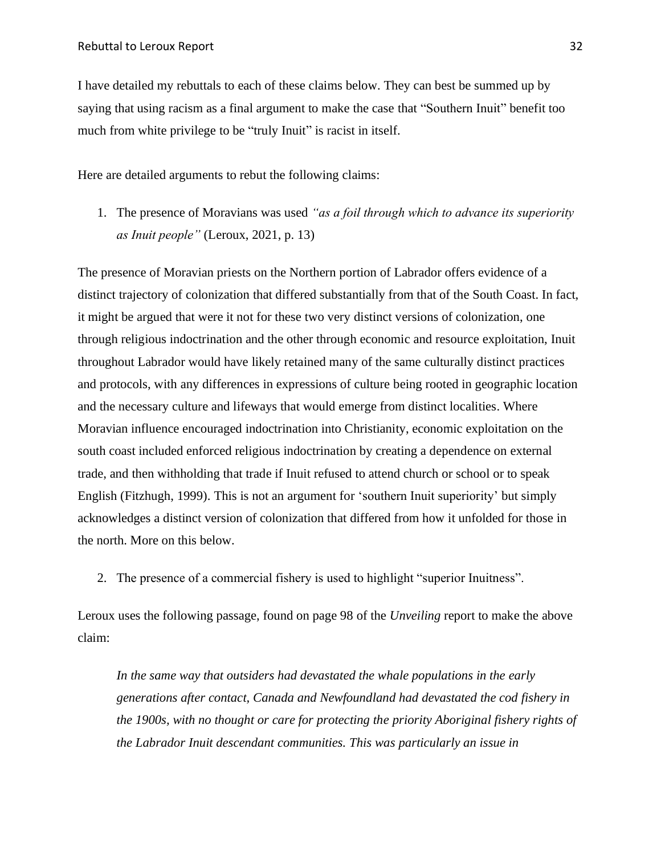I have detailed my rebuttals to each of these claims below. They can best be summed up by saying that using racism as a final argument to make the case that "Southern Inuit" benefit too much from white privilege to be "truly Inuit" is racist in itself.

Here are detailed arguments to rebut the following claims:

1. The presence of Moravians was used *"as a foil through which to advance its superiority as Inuit people"* (Leroux, 2021, p. 13)

The presence of Moravian priests on the Northern portion of Labrador offers evidence of a distinct trajectory of colonization that differed substantially from that of the South Coast. In fact, it might be argued that were it not for these two very distinct versions of colonization, one through religious indoctrination and the other through economic and resource exploitation, Inuit throughout Labrador would have likely retained many of the same culturally distinct practices and protocols, with any differences in expressions of culture being rooted in geographic location and the necessary culture and lifeways that would emerge from distinct localities. Where Moravian influence encouraged indoctrination into Christianity, economic exploitation on the south coast included enforced religious indoctrination by creating a dependence on external trade, and then withholding that trade if Inuit refused to attend church or school or to speak English (Fitzhugh, 1999). This is not an argument for 'southern Inuit superiority' but simply acknowledges a distinct version of colonization that differed from how it unfolded for those in the north. More on this below.

2. The presence of a commercial fishery is used to highlight "superior Inuitness".

Leroux uses the following passage, found on page 98 of the *Unveiling* report to make the above claim:

In the same way that outsiders had devastated the whale populations in the early *generations after contact, Canada and Newfoundland had devastated the cod fishery in the 1900s, with no thought or care for protecting the priority Aboriginal fishery rights of the Labrador Inuit descendant communities. This was particularly an issue in*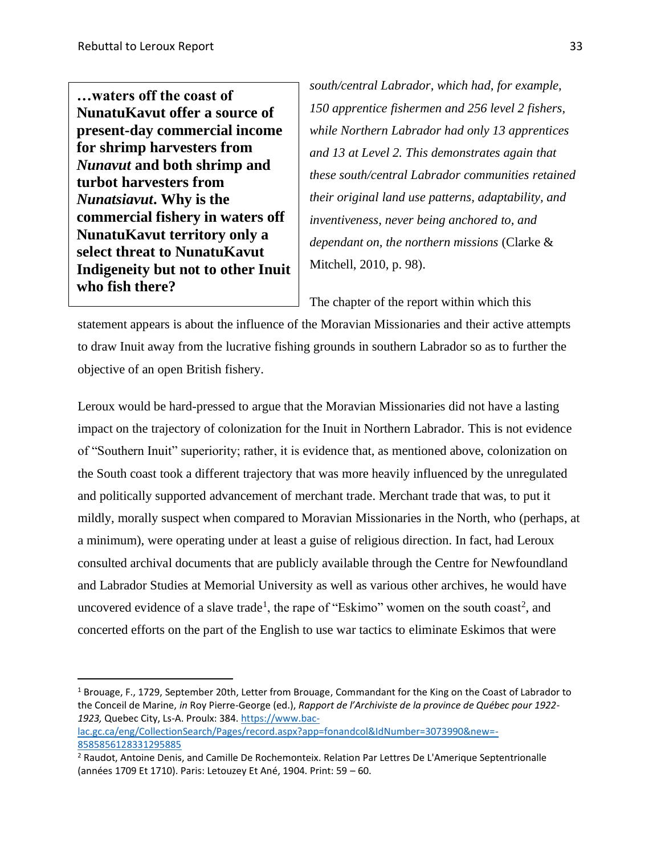**…waters off the coast of NunatuKavut offer a source of present-day commercial income for shrimp harvesters from**  *Nunavut* **and both shrimp and turbot harvesters from**  *Nunatsiavut***. Why is the commercial fishery in waters off NunatuKavut territory only a select threat to NunatuKavut Indigeneity but not to other Inuit who fish there?** 

*south/central Labrador, which had, for example, 150 apprentice fishermen and 256 level 2 fishers, while Northern Labrador had only 13 apprentices and 13 at Level 2. This demonstrates again that these south/central Labrador communities retained their original land use patterns, adaptability, and inventiveness, never being anchored to, and dependant on, the northern missions* (Clarke & Mitchell, 2010, p. 98).

The chapter of the report within which this

statement appears is about the influence of the Moravian Missionaries and their active attempts to draw Inuit away from the lucrative fishing grounds in southern Labrador so as to further the objective of an open British fishery.

Leroux would be hard-pressed to argue that the Moravian Missionaries did not have a lasting impact on the trajectory of colonization for the Inuit in Northern Labrador. This is not evidence of "Southern Inuit" superiority; rather, it is evidence that, as mentioned above, colonization on the South coast took a different trajectory that was more heavily influenced by the unregulated and politically supported advancement of merchant trade. Merchant trade that was, to put it mildly, morally suspect when compared to Moravian Missionaries in the North, who (perhaps, at a minimum), were operating under at least a guise of religious direction. In fact, had Leroux consulted archival documents that are publicly available through the Centre for Newfoundland and Labrador Studies at Memorial University as well as various other archives, he would have uncovered evidence of a slave trade<sup>1</sup>, the rape of "Eskimo" women on the south coast<sup>2</sup>, and concerted efforts on the part of the English to use war tactics to eliminate Eskimos that were

<sup>1</sup> Brouage, F., 1729, September 20th, Letter from Brouage, Commandant for the King on the Coast of Labrador to the Conceil de Marine, *in* Roy Pierre-George (ed.), *Rapport de l'Archiviste de la province de Québec pour 1922- 1923,* Quebec City, Ls-A. Proulx: 384[. https://www.bac-](https://www.bac-lac.gc.ca/eng/CollectionSearch/Pages/record.aspx?app=fonandcol&IdNumber=3073990&new=-8585856128331295885)

[lac.gc.ca/eng/CollectionSearch/Pages/record.aspx?app=fonandcol&IdNumber=3073990&new=-](https://www.bac-lac.gc.ca/eng/CollectionSearch/Pages/record.aspx?app=fonandcol&IdNumber=3073990&new=-8585856128331295885) [8585856128331295885](https://www.bac-lac.gc.ca/eng/CollectionSearch/Pages/record.aspx?app=fonandcol&IdNumber=3073990&new=-8585856128331295885)

<sup>2</sup> Raudot, Antoine Denis, and Camille De Rochemonteix. Relation Par Lettres De L'Amerique Septentrionalle (années 1709 Et 1710). Paris: Letouzey Et Ané, 1904. Print: 59 – 60.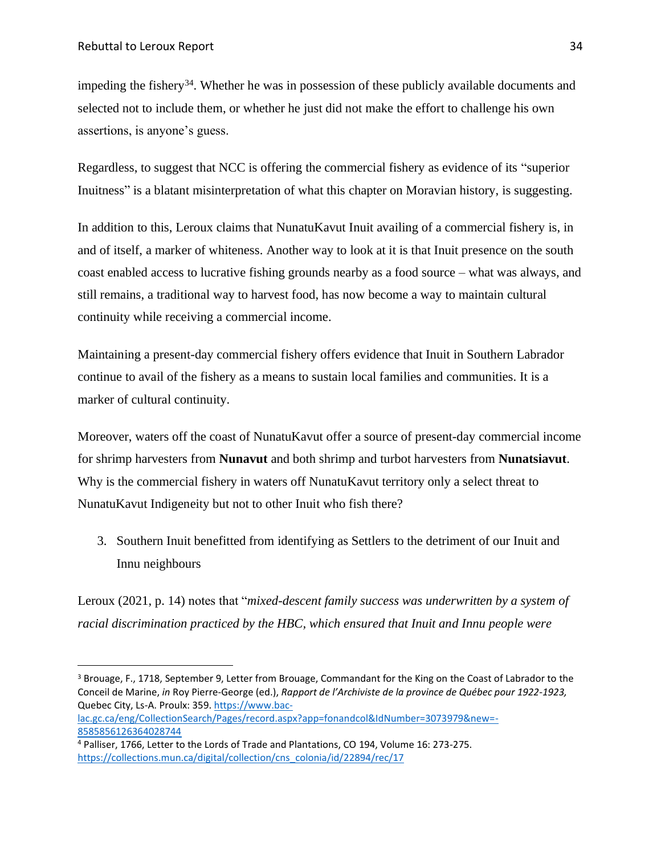impeding the fishery<sup>34</sup>. Whether he was in possession of these publicly available documents and selected not to include them, or whether he just did not make the effort to challenge his own assertions, is anyone's guess.

Regardless, to suggest that NCC is offering the commercial fishery as evidence of its "superior Inuitness" is a blatant misinterpretation of what this chapter on Moravian history, is suggesting.

In addition to this, Leroux claims that NunatuKavut Inuit availing of a commercial fishery is, in and of itself, a marker of whiteness. Another way to look at it is that Inuit presence on the south coast enabled access to lucrative fishing grounds nearby as a food source – what was always, and still remains, a traditional way to harvest food, has now become a way to maintain cultural continuity while receiving a commercial income.

Maintaining a present-day commercial fishery offers evidence that Inuit in Southern Labrador continue to avail of the fishery as a means to sustain local families and communities. It is a marker of cultural continuity.

Moreover, waters off the coast of NunatuKavut offer a source of present-day commercial income for shrimp harvesters from **Nunavut** and both shrimp and turbot harvesters from **Nunatsiavut**. Why is the commercial fishery in waters off NunatuKavut territory only a select threat to NunatuKavut Indigeneity but not to other Inuit who fish there?

3. Southern Inuit benefitted from identifying as Settlers to the detriment of our Inuit and Innu neighbours

Leroux (2021, p. 14) notes that "*mixed-descent family success was underwritten by a system of racial discrimination practiced by the HBC, which ensured that Inuit and Innu people were* 

<sup>3</sup> Brouage, F., 1718, September 9, Letter from Brouage, Commandant for the King on the Coast of Labrador to the Conceil de Marine, *in* Roy Pierre-George (ed.), *Rapport de l'Archiviste de la province de Québec pour 1922-1923,*  Quebec City, Ls-A. Proulx: 359[. https://www.bac-](https://www.bac-lac.gc.ca/eng/CollectionSearch/Pages/record.aspx?app=fonandcol&IdNumber=3073979&new=-8585856126364028744)

[lac.gc.ca/eng/CollectionSearch/Pages/record.aspx?app=fonandcol&IdNumber=3073979&new=-](https://www.bac-lac.gc.ca/eng/CollectionSearch/Pages/record.aspx?app=fonandcol&IdNumber=3073979&new=-8585856126364028744) [8585856126364028744](https://www.bac-lac.gc.ca/eng/CollectionSearch/Pages/record.aspx?app=fonandcol&IdNumber=3073979&new=-8585856126364028744)

<sup>4</sup> Palliser, 1766, Letter to the Lords of Trade and Plantations, CO 194, Volume 16: 273-275. [https://collections.mun.ca/digital/collection/cns\\_colonia/id/22894/rec/17](https://collections.mun.ca/digital/collection/cns_colonia/id/22894/rec/17)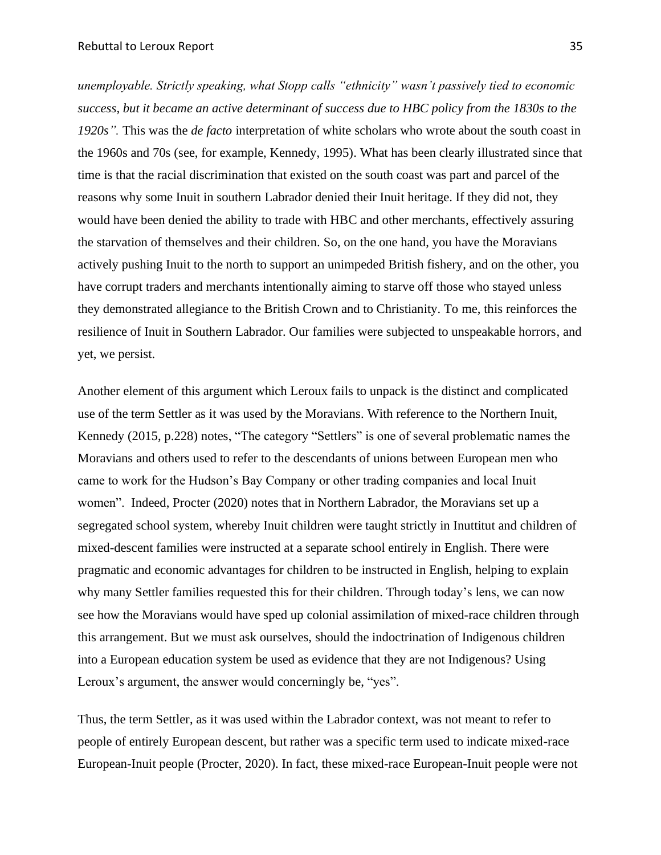*unemployable. Strictly speaking, what Stopp calls "ethnicity" wasn't passively tied to economic*  success, but it became an active determinant of success due to HBC policy from the 1830s to the *1920s".* This was the *de facto* interpretation of white scholars who wrote about the south coast in the 1960s and 70s (see, for example, Kennedy, 1995). What has been clearly illustrated since that time is that the racial discrimination that existed on the south coast was part and parcel of the reasons why some Inuit in southern Labrador denied their Inuit heritage. If they did not, they would have been denied the ability to trade with HBC and other merchants, effectively assuring the starvation of themselves and their children. So, on the one hand, you have the Moravians actively pushing Inuit to the north to support an unimpeded British fishery, and on the other, you have corrupt traders and merchants intentionally aiming to starve off those who stayed unless they demonstrated allegiance to the British Crown and to Christianity. To me, this reinforces the resilience of Inuit in Southern Labrador. Our families were subjected to unspeakable horrors, and yet, we persist.

Another element of this argument which Leroux fails to unpack is the distinct and complicated use of the term Settler as it was used by the Moravians. With reference to the Northern Inuit, Kennedy (2015, p.228) notes, "The category "Settlers" is one of several problematic names the Moravians and others used to refer to the descendants of unions between European men who came to work for the Hudson's Bay Company or other trading companies and local Inuit women". Indeed, Procter (2020) notes that in Northern Labrador, the Moravians set up a segregated school system, whereby Inuit children were taught strictly in Inuttitut and children of mixed-descent families were instructed at a separate school entirely in English. There were pragmatic and economic advantages for children to be instructed in English, helping to explain why many Settler families requested this for their children. Through today's lens, we can now see how the Moravians would have sped up colonial assimilation of mixed-race children through this arrangement. But we must ask ourselves, should the indoctrination of Indigenous children into a European education system be used as evidence that they are not Indigenous? Using Leroux's argument, the answer would concerningly be, "yes".

Thus, the term Settler, as it was used within the Labrador context, was not meant to refer to people of entirely European descent, but rather was a specific term used to indicate mixed-race European-Inuit people (Procter, 2020). In fact, these mixed-race European-Inuit people were not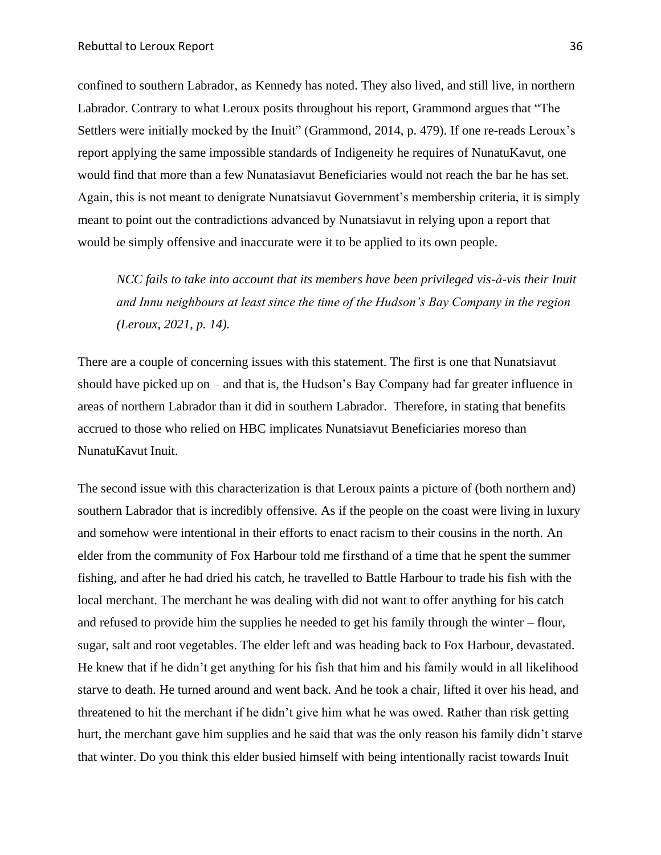confined to southern Labrador, as Kennedy has noted. They also lived, and still live, in northern Labrador. Contrary to what Leroux posits throughout his report, Grammond argues that "The Settlers were initially mocked by the Inuit" (Grammond, 2014, p. 479). If one re-reads Leroux's report applying the same impossible standards of Indigeneity he requires of NunatuKavut, one would find that more than a few Nunatasiavut Beneficiaries would not reach the bar he has set. Again, this is not meant to denigrate Nunatsiavut Government's membership criteria, it is simply meant to point out the contradictions advanced by Nunatsiavut in relying upon a report that would be simply offensive and inaccurate were it to be applied to its own people.

*NCC fails to take into account that its members have been privileged vis-à-vis their Inuit and Innu neighbours at least since the time of the Hudson's Bay Company in the region (Leroux, 2021, p. 14).*

There are a couple of concerning issues with this statement. The first is one that Nunatsiavut should have picked up on – and that is, the Hudson's Bay Company had far greater influence in areas of northern Labrador than it did in southern Labrador. Therefore, in stating that benefits accrued to those who relied on HBC implicates Nunatsiavut Beneficiaries moreso than NunatuKavut Inuit.

The second issue with this characterization is that Leroux paints a picture of (both northern and) southern Labrador that is incredibly offensive. As if the people on the coast were living in luxury and somehow were intentional in their efforts to enact racism to their cousins in the north. An elder from the community of Fox Harbour told me firsthand of a time that he spent the summer fishing, and after he had dried his catch, he travelled to Battle Harbour to trade his fish with the local merchant. The merchant he was dealing with did not want to offer anything for his catch and refused to provide him the supplies he needed to get his family through the winter – flour, sugar, salt and root vegetables. The elder left and was heading back to Fox Harbour, devastated. He knew that if he didn't get anything for his fish that him and his family would in all likelihood starve to death. He turned around and went back. And he took a chair, lifted it over his head, and threatened to hit the merchant if he didn't give him what he was owed. Rather than risk getting hurt, the merchant gave him supplies and he said that was the only reason his family didn't starve that winter. Do you think this elder busied himself with being intentionally racist towards Inuit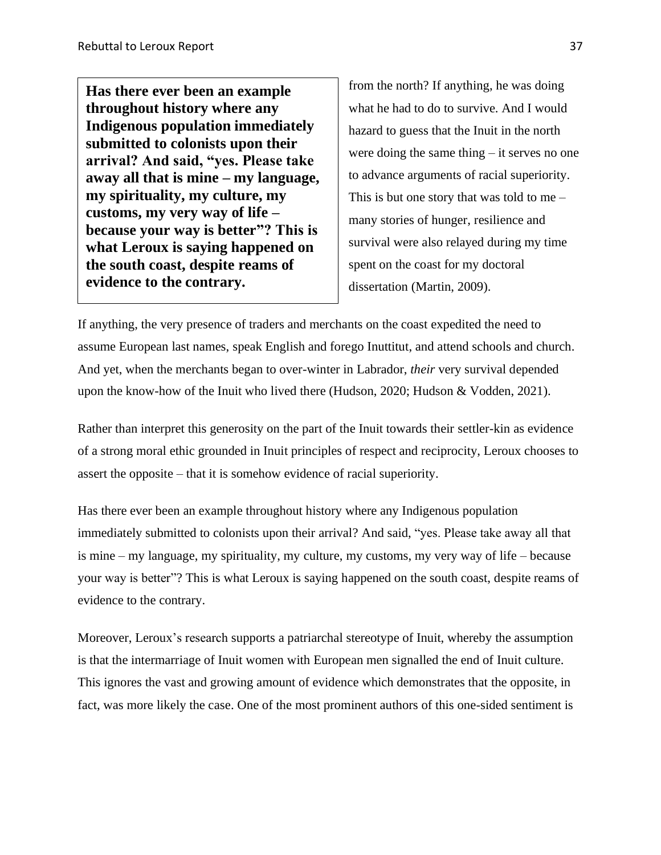**Has there ever been an example throughout history where any Indigenous population immediately submitted to colonists upon their arrival? And said, "yes. Please take away all that is mine – my language, my spirituality, my culture, my customs, my very way of life – because your way is better"? This is what Leroux is saying happened on the south coast, despite reams of evidence to the contrary.**

from the north? If anything, he was doing what he had to do to survive. And I would hazard to guess that the Inuit in the north were doing the same thing – it serves no one to advance arguments of racial superiority. This is but one story that was told to me – many stories of hunger, resilience and survival were also relayed during my time spent on the coast for my doctoral dissertation (Martin, 2009).

If anything, the very presence of traders and merchants on the coast expedited the need to assume European last names, speak English and forego Inuttitut, and attend schools and church. And yet, when the merchants began to over-winter in Labrador, *their* very survival depended upon the know-how of the Inuit who lived there (Hudson, 2020; Hudson & Vodden, 2021).

Rather than interpret this generosity on the part of the Inuit towards their settler-kin as evidence of a strong moral ethic grounded in Inuit principles of respect and reciprocity, Leroux chooses to assert the opposite – that it is somehow evidence of racial superiority.

Has there ever been an example throughout history where any Indigenous population immediately submitted to colonists upon their arrival? And said, "yes. Please take away all that is mine – my language, my spirituality, my culture, my customs, my very way of life – because your way is better"? This is what Leroux is saying happened on the south coast, despite reams of evidence to the contrary.

Moreover, Leroux's research supports a patriarchal stereotype of Inuit, whereby the assumption is that the intermarriage of Inuit women with European men signalled the end of Inuit culture. This ignores the vast and growing amount of evidence which demonstrates that the opposite, in fact, was more likely the case. One of the most prominent authors of this one-sided sentiment is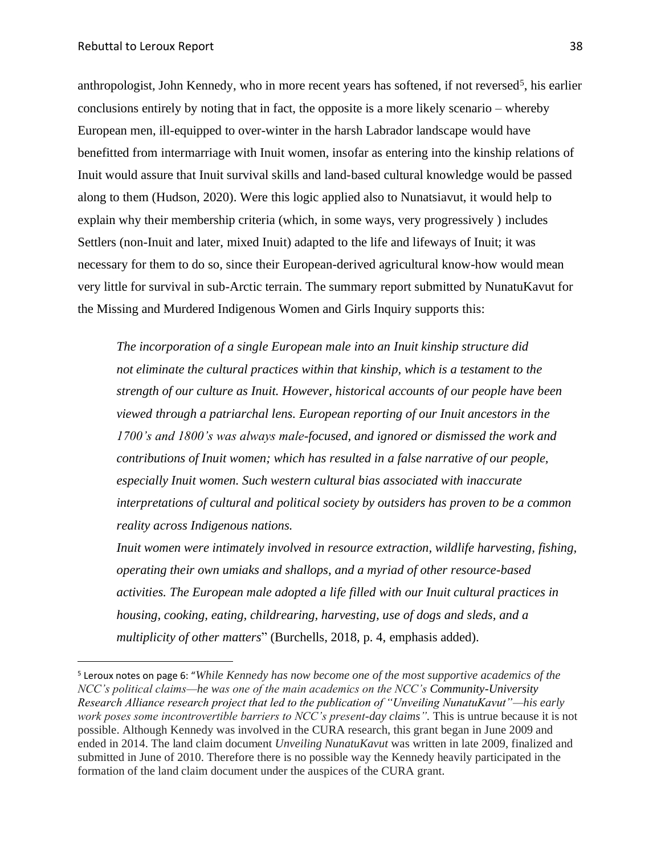anthropologist, John Kennedy, who in more recent years has softened, if not reversed<sup>5</sup>, his earlier conclusions entirely by noting that in fact, the opposite is a more likely scenario – whereby European men, ill-equipped to over-winter in the harsh Labrador landscape would have benefitted from intermarriage with Inuit women, insofar as entering into the kinship relations of Inuit would assure that Inuit survival skills and land-based cultural knowledge would be passed along to them (Hudson, 2020). Were this logic applied also to Nunatsiavut, it would help to explain why their membership criteria (which, in some ways, very progressively ) includes Settlers (non-Inuit and later, mixed Inuit) adapted to the life and lifeways of Inuit; it was necessary for them to do so, since their European-derived agricultural know-how would mean very little for survival in sub-Arctic terrain. The summary report submitted by NunatuKavut for the Missing and Murdered Indigenous Women and Girls Inquiry supports this:

*The incorporation of a single European male into an Inuit kinship structure did not eliminate the cultural practices within that kinship, which is a testament to the strength of our culture as Inuit. However, historical accounts of our people have been viewed through a patriarchal lens. European reporting of our Inuit ancestors in the 1700's and 1800's was always male-focused, and ignored or dismissed the work and contributions of Inuit women; which has resulted in a false narrative of our people, especially Inuit women. Such western cultural bias associated with inaccurate interpretations of cultural and political society by outsiders has proven to be a common reality across Indigenous nations.*

*Inuit* women were intimately involved in resource extraction, wildlife harvesting, fishing, *operating their own umiaks and shallops, and a myriad of other resource-based activities. The European male adopted a life filled with our Inuit cultural practices in housing, cooking, eating, childrearing, harvesting, use of dogs and sleds, and a multiplicity of other matters*" (Burchells, 2018, p. 4, emphasis added).

<sup>5</sup> Leroux notes on page 6: "*While Kennedy has now become one of the most supportive academics of the NCC's political claims—he was one of the main academics on the NCC's Community-University Research Alliance research project that led to the publication of "Unveiling NunatuKavut"—his early work poses some incontrovertible barriers to NCC's present-day claims".* This is untrue because it is not possible. Although Kennedy was involved in the CURA research, this grant began in June 2009 and ended in 2014. The land claim document *Unveiling NunatuKavut* was written in late 2009, finalized and submitted in June of 2010. Therefore there is no possible way the Kennedy heavily participated in the formation of the land claim document under the auspices of the CURA grant.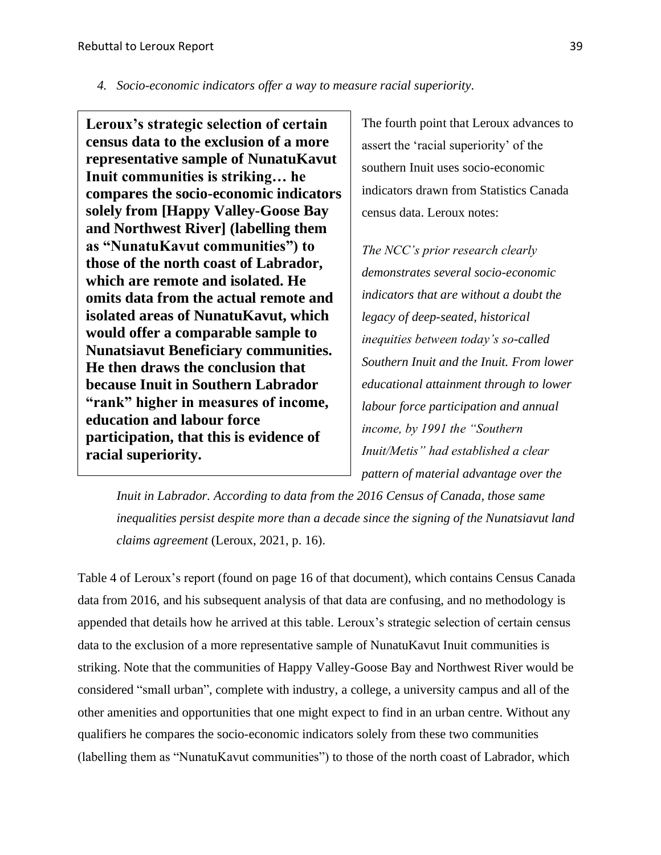*4. Socio-economic indicators offer a way to measure racial superiority.* 

**Leroux's strategic selection of certain census data to the exclusion of a more representative sample of NunatuKavut Inuit communities is striking… he compares the socio-economic indicators solely from [Happy Valley-Goose Bay and Northwest River] (labelling them as "NunatuKavut communities") to those of the north coast of Labrador, which are remote and isolated. He omits data from the actual remote and isolated areas of NunatuKavut, which would offer a comparable sample to Nunatsiavut Beneficiary communities. He then draws the conclusion that because Inuit in Southern Labrador "rank" higher in measures of income, education and labour force participation, that this is evidence of racial superiority.**

The fourth point that Leroux advances to assert the 'racial superiority' of the southern Inuit uses socio-economic indicators drawn from Statistics Canada census data. Leroux notes:

*The NCC's prior research clearly demonstrates several socio-economic indicators that are without a doubt the legacy of deep-seated, historical inequities between today's so-called Southern Inuit and the Inuit. From lower educational attainment through to lower labour force participation and annual income, by 1991 the "Southern Inuit/Metis" had established a clear pattern of material advantage over the* 

*Inuit in Labrador. According to data from the 2016 Census of Canada, those same inequalities persist despite more than a decade since the signing of the Nunatsiavut land claims agreement* (Leroux, 2021, p. 16).

Table 4 of Leroux's report (found on page 16 of that document), which contains Census Canada data from 2016, and his subsequent analysis of that data are confusing, and no methodology is appended that details how he arrived at this table. Leroux's strategic selection of certain census data to the exclusion of a more representative sample of NunatuKavut Inuit communities is striking. Note that the communities of Happy Valley-Goose Bay and Northwest River would be considered "small urban", complete with industry, a college, a university campus and all of the other amenities and opportunities that one might expect to find in an urban centre. Without any qualifiers he compares the socio-economic indicators solely from these two communities (labelling them as "NunatuKavut communities") to those of the north coast of Labrador, which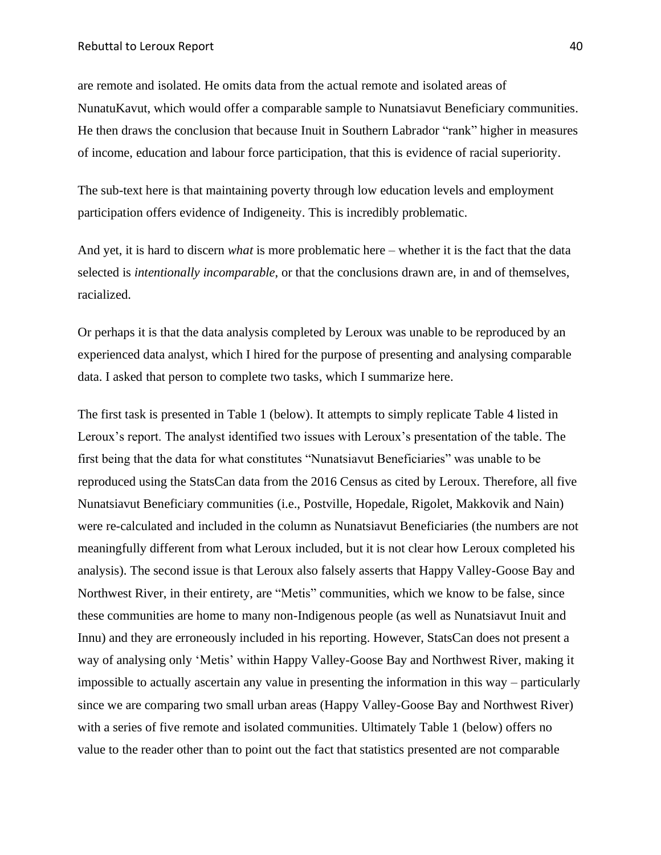are remote and isolated. He omits data from the actual remote and isolated areas of NunatuKavut, which would offer a comparable sample to Nunatsiavut Beneficiary communities. He then draws the conclusion that because Inuit in Southern Labrador "rank" higher in measures of income, education and labour force participation, that this is evidence of racial superiority.

The sub-text here is that maintaining poverty through low education levels and employment participation offers evidence of Indigeneity. This is incredibly problematic.

And yet, it is hard to discern *what* is more problematic here – whether it is the fact that the data selected is *intentionally incomparable*, or that the conclusions drawn are, in and of themselves, racialized.

Or perhaps it is that the data analysis completed by Leroux was unable to be reproduced by an experienced data analyst, which I hired for the purpose of presenting and analysing comparable data. I asked that person to complete two tasks, which I summarize here.

The first task is presented in Table 1 (below). It attempts to simply replicate Table 4 listed in Leroux's report. The analyst identified two issues with Leroux's presentation of the table. The first being that the data for what constitutes "Nunatsiavut Beneficiaries" was unable to be reproduced using the StatsCan data from the 2016 Census as cited by Leroux. Therefore, all five Nunatsiavut Beneficiary communities (i.e., Postville, Hopedale, Rigolet, Makkovik and Nain) were re-calculated and included in the column as Nunatsiavut Beneficiaries (the numbers are not meaningfully different from what Leroux included, but it is not clear how Leroux completed his analysis). The second issue is that Leroux also falsely asserts that Happy Valley-Goose Bay and Northwest River, in their entirety, are "Metis" communities, which we know to be false, since these communities are home to many non-Indigenous people (as well as Nunatsiavut Inuit and Innu) and they are erroneously included in his reporting. However, StatsCan does not present a way of analysing only 'Metis' within Happy Valley-Goose Bay and Northwest River, making it impossible to actually ascertain any value in presenting the information in this way – particularly since we are comparing two small urban areas (Happy Valley-Goose Bay and Northwest River) with a series of five remote and isolated communities. Ultimately Table 1 (below) offers no value to the reader other than to point out the fact that statistics presented are not comparable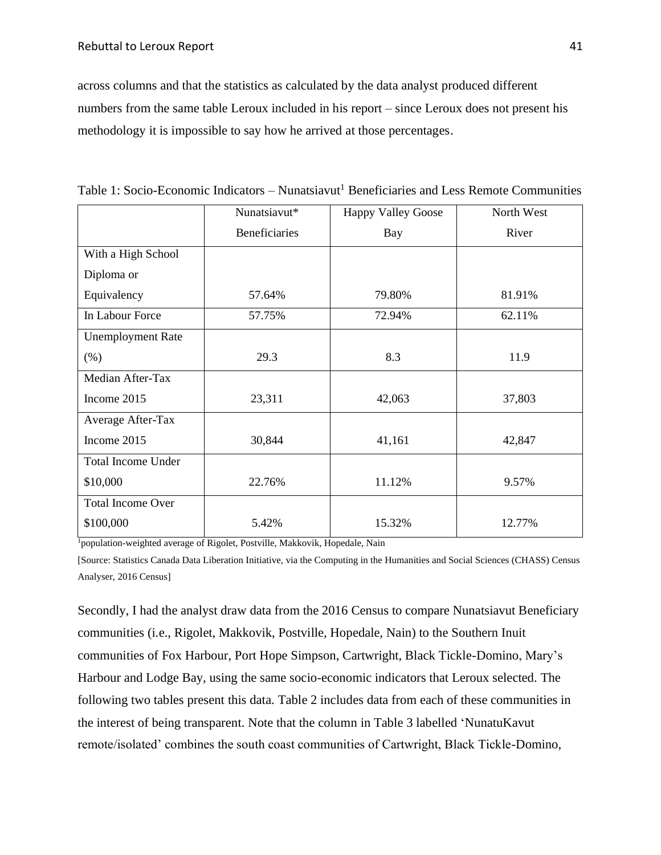across columns and that the statistics as calculated by the data analyst produced different numbers from the same table Leroux included in his report – since Leroux does not present his methodology it is impossible to say how he arrived at those percentages.

|                           | Nunatsiavut*  | <b>Happy Valley Goose</b> | North West |
|---------------------------|---------------|---------------------------|------------|
|                           | Beneficiaries | <b>Bay</b>                | River      |
| With a High School        |               |                           |            |
| Diploma or                |               |                           |            |
| Equivalency               | 57.64%        | 79.80%                    | 81.91%     |
| In Labour Force           | 57.75%        | 72.94%                    | 62.11%     |
| <b>Unemployment Rate</b>  |               |                           |            |
| (% )                      | 29.3          | 8.3                       | 11.9       |
| Median After-Tax          |               |                           |            |
| Income 2015               | 23,311        | 42,063                    | 37,803     |
| Average After-Tax         |               |                           |            |
| Income 2015               | 30,844        | 41,161                    | 42,847     |
| <b>Total Income Under</b> |               |                           |            |
| \$10,000                  | 22.76%        | 11.12%                    | 9.57%      |
| <b>Total Income Over</b>  |               |                           |            |
| \$100,000                 | 5.42%         | 15.32%                    | 12.77%     |

Table 1: Socio-Economic Indicators – Nunatsiavut<sup>1</sup> Beneficiaries and Less Remote Communities

<sup>1</sup>population-weighted average of Rigolet, Postville, Makkovik, Hopedale, Nain

[Source: Statistics Canada Data Liberation Initiative, via the Computing in the Humanities and Social Sciences (CHASS) Census Analyser, 2016 Census]

Secondly, I had the analyst draw data from the 2016 Census to compare Nunatsiavut Beneficiary communities (i.e., Rigolet, Makkovik, Postville, Hopedale, Nain) to the Southern Inuit communities of Fox Harbour, Port Hope Simpson, Cartwright, Black Tickle-Domino, Mary's Harbour and Lodge Bay, using the same socio-economic indicators that Leroux selected. The following two tables present this data. Table 2 includes data from each of these communities in the interest of being transparent. Note that the column in Table 3 labelled 'NunatuKavut remote/isolated' combines the south coast communities of Cartwright, Black Tickle-Domino,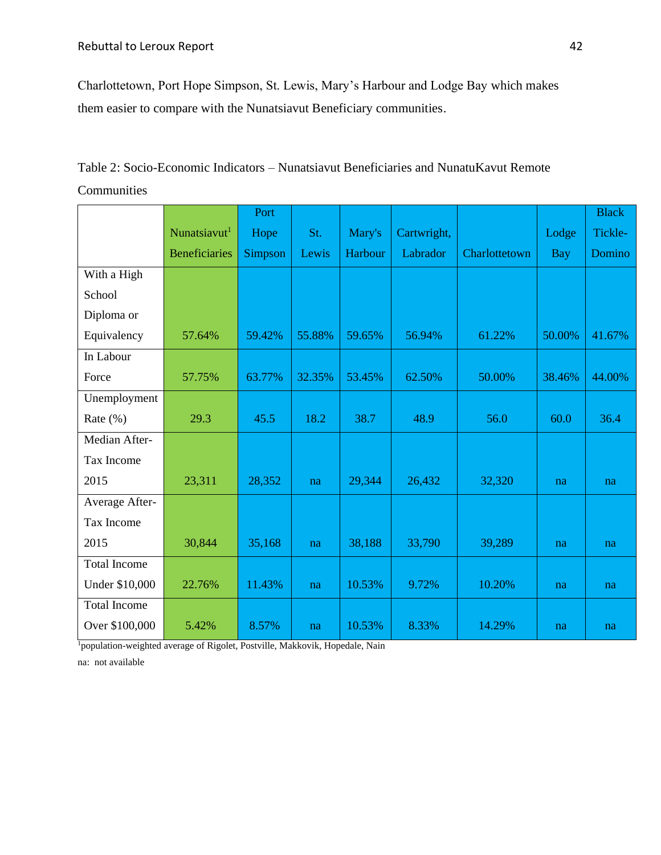Charlottetown, Port Hope Simpson, St. Lewis, Mary's Harbour and Lodge Bay which makes them easier to compare with the Nunatsiavut Beneficiary communities.

Table 2: Socio-Economic Indicators – Nunatsiavut Beneficiaries and NunatuKavut Remote Communities

|                     |                          | Port    |        |         |             |               |            | <b>Black</b> |
|---------------------|--------------------------|---------|--------|---------|-------------|---------------|------------|--------------|
|                     | Nunatsiavut <sup>1</sup> | Hope    | St.    | Mary's  | Cartwright, |               | Lodge      | Tickle-      |
|                     | <b>Beneficiaries</b>     | Simpson | Lewis  | Harbour | Labrador    | Charlottetown | <b>Bay</b> | Domino       |
| With a High         |                          |         |        |         |             |               |            |              |
| School              |                          |         |        |         |             |               |            |              |
| Diploma or          |                          |         |        |         |             |               |            |              |
| Equivalency         | 57.64%                   | 59.42%  | 55.88% | 59.65%  | 56.94%      | 61.22%        | 50.00%     | 41.67%       |
| In Labour           |                          |         |        |         |             |               |            |              |
| Force               | 57.75%                   | 63.77%  | 32.35% | 53.45%  | 62.50%      | 50.00%        | 38.46%     | 44.00%       |
| Unemployment        |                          |         |        |         |             |               |            |              |
| Rate $(\% )$        | 29.3                     | 45.5    | 18.2   | 38.7    | 48.9        | 56.0          | 60.0       | 36.4         |
| Median After-       |                          |         |        |         |             |               |            |              |
| Tax Income          |                          |         |        |         |             |               |            |              |
| 2015                | 23,311                   | 28,352  | na     | 29,344  | 26,432      | 32,320        | na         | na           |
| Average After-      |                          |         |        |         |             |               |            |              |
| Tax Income          |                          |         |        |         |             |               |            |              |
| 2015                | 30,844                   | 35,168  | na     | 38,188  | 33,790      | 39,289        | na         | na           |
| <b>Total Income</b> |                          |         |        |         |             |               |            |              |
| Under \$10,000      | 22.76%                   | 11.43%  | na     | 10.53%  | 9.72%       | 10.20%        | na         | na           |
| <b>Total Income</b> |                          |         |        |         |             |               |            |              |
| Over \$100,000      | 5.42%                    | 8.57%   | na     | 10.53%  | 8.33%       | 14.29%        | na         | na           |

<sup>1</sup>population-weighted average of Rigolet, Postville, Makkovik, Hopedale, Nain

na: not available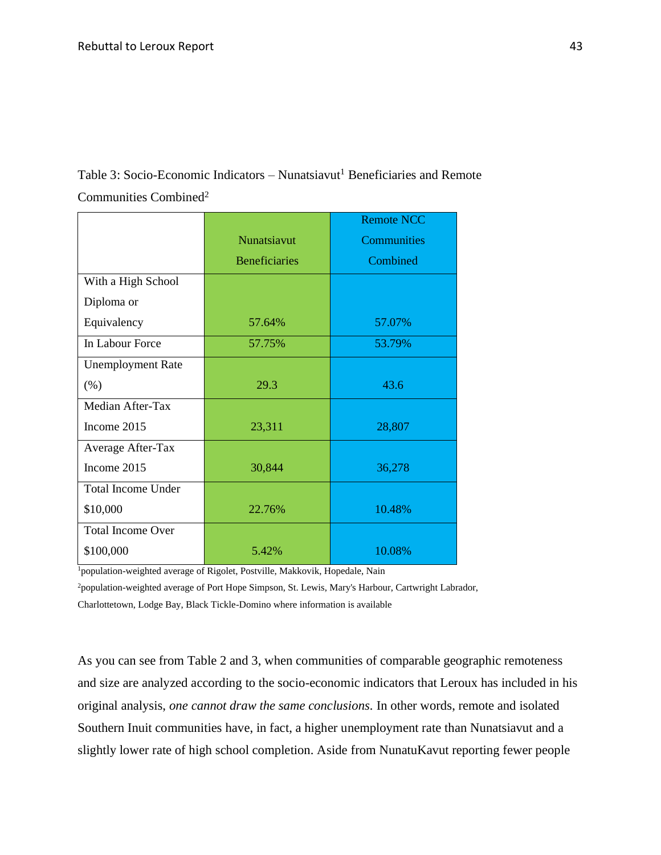Table 3: Socio-Economic Indicators – Nunatsiavut<sup>1</sup> Beneficiaries and Remote Communities Combined<sup>2</sup>

|                           |                      | <b>Remote NCC</b> |
|---------------------------|----------------------|-------------------|
|                           | Nunatsiavut          | Communities       |
|                           | <b>Beneficiaries</b> | Combined          |
| With a High School        |                      |                   |
| Diploma or                |                      |                   |
| Equivalency               | 57.64%               | 57.07%            |
| In Labour Force           | 57.75%               | 53.79%            |
| <b>Unemployment Rate</b>  |                      |                   |
| (% )                      | 29.3                 | 43.6              |
| Median After-Tax          |                      |                   |
| Income 2015               | 23,311               | 28,807            |
| Average After-Tax         |                      |                   |
| Income 2015               | 30,844               | 36,278            |
| <b>Total Income Under</b> |                      |                   |
| \$10,000                  | 22.76%               | 10.48%            |
| <b>Total Income Over</b>  |                      |                   |
| \$100,000                 | 5.42%                | 10.08%            |

<sup>1</sup>population-weighted average of Rigolet, Postville, Makkovik, Hopedale, Nain

<sup>2</sup>population-weighted average of Port Hope Simpson, St. Lewis, Mary's Harbour, Cartwright Labrador, Charlottetown, Lodge Bay, Black Tickle-Domino where information is available

As you can see from Table 2 and 3, when communities of comparable geographic remoteness and size are analyzed according to the socio-economic indicators that Leroux has included in his original analysis, *one cannot draw the same conclusions.* In other words, remote and isolated Southern Inuit communities have, in fact, a higher unemployment rate than Nunatsiavut and a slightly lower rate of high school completion. Aside from NunatuKavut reporting fewer people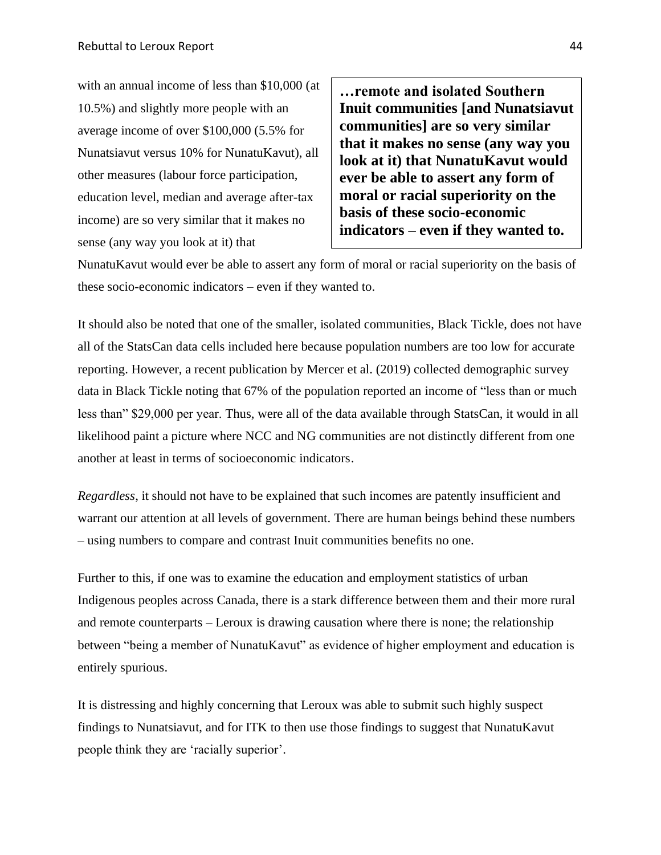with an annual income of less than \$10,000 (at 10.5%) and slightly more people with an average income of over \$100,000 (5.5% for Nunatsiavut versus 10% for NunatuKavut), all other measures (labour force participation, education level, median and average after-tax income) are so very similar that it makes no sense (any way you look at it) that

**…remote and isolated Southern Inuit communities [and Nunatsiavut communities] are so very similar that it makes no sense (any way you look at it) that NunatuKavut would ever be able to assert any form of moral or racial superiority on the basis of these socio-economic indicators – even if they wanted to.** 

NunatuKavut would ever be able to assert any form of moral or racial superiority on the basis of these socio-economic indicators – even if they wanted to.

It should also be noted that one of the smaller, isolated communities, Black Tickle, does not have all of the StatsCan data cells included here because population numbers are too low for accurate reporting. However, a recent publication by Mercer et al. (2019) collected demographic survey data in Black Tickle noting that 67% of the population reported an income of "less than or much less than" \$29,000 per year. Thus, were all of the data available through StatsCan, it would in all likelihood paint a picture where NCC and NG communities are not distinctly different from one another at least in terms of socioeconomic indicators.

*Regardless*, it should not have to be explained that such incomes are patently insufficient and warrant our attention at all levels of government. There are human beings behind these numbers – using numbers to compare and contrast Inuit communities benefits no one.

Further to this, if one was to examine the education and employment statistics of urban Indigenous peoples across Canada, there is a stark difference between them and their more rural and remote counterparts – Leroux is drawing causation where there is none; the relationship between "being a member of NunatuKavut" as evidence of higher employment and education is entirely spurious.

It is distressing and highly concerning that Leroux was able to submit such highly suspect findings to Nunatsiavut, and for ITK to then use those findings to suggest that NunatuKavut people think they are 'racially superior'.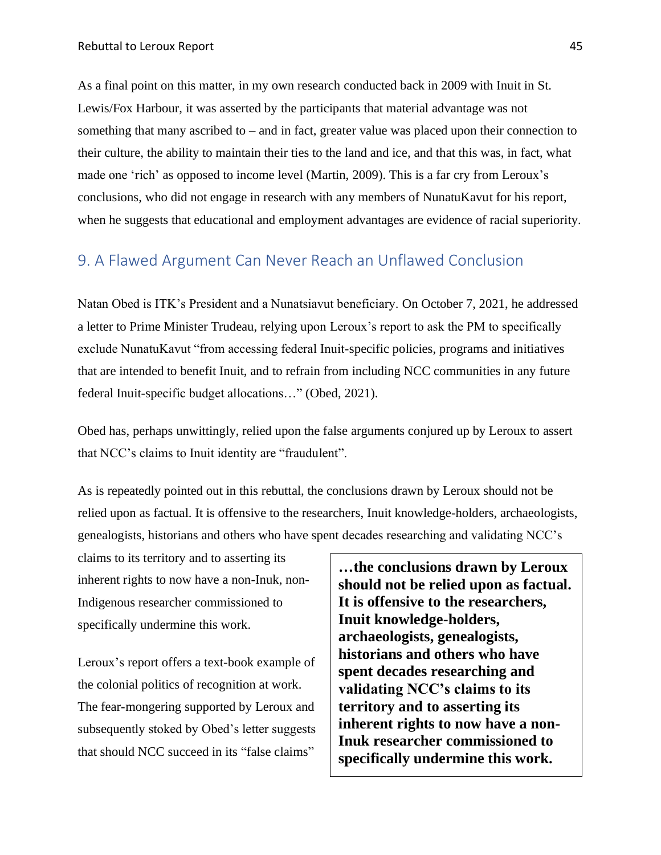As a final point on this matter, in my own research conducted back in 2009 with Inuit in St. Lewis/Fox Harbour, it was asserted by the participants that material advantage was not something that many ascribed to – and in fact, greater value was placed upon their connection to their culture, the ability to maintain their ties to the land and ice, and that this was, in fact, what made one 'rich' as opposed to income level (Martin, 2009). This is a far cry from Leroux's conclusions, who did not engage in research with any members of NunatuKavut for his report, when he suggests that educational and employment advantages are evidence of racial superiority.

#### <span id="page-45-0"></span>9. A Flawed Argument Can Never Reach an Unflawed Conclusion

Natan Obed is ITK's President and a Nunatsiavut beneficiary. On October 7, 2021, he addressed a letter to Prime Minister Trudeau, relying upon Leroux's report to ask the PM to specifically exclude NunatuKavut "from accessing federal Inuit-specific policies, programs and initiatives that are intended to benefit Inuit, and to refrain from including NCC communities in any future federal Inuit-specific budget allocations…" (Obed, 2021).

Obed has, perhaps unwittingly, relied upon the false arguments conjured up by Leroux to assert that NCC's claims to Inuit identity are "fraudulent".

As is repeatedly pointed out in this rebuttal, the conclusions drawn by Leroux should not be relied upon as factual. It is offensive to the researchers, Inuit knowledge-holders, archaeologists, genealogists, historians and others who have spent decades researching and validating NCC's

claims to its territory and to asserting its inherent rights to now have a non-Inuk, non-Indigenous researcher commissioned to specifically undermine this work.

Leroux's report offers a text-book example of the colonial politics of recognition at work. The fear-mongering supported by Leroux and subsequently stoked by Obed's letter suggests that should NCC succeed in its "false claims"

**…the conclusions drawn by Leroux should not be relied upon as factual. It is offensive to the researchers, Inuit knowledge-holders, archaeologists, genealogists, historians and others who have spent decades researching and validating NCC's claims to its territory and to asserting its inherent rights to now have a non-Inuk researcher commissioned to specifically undermine this work.**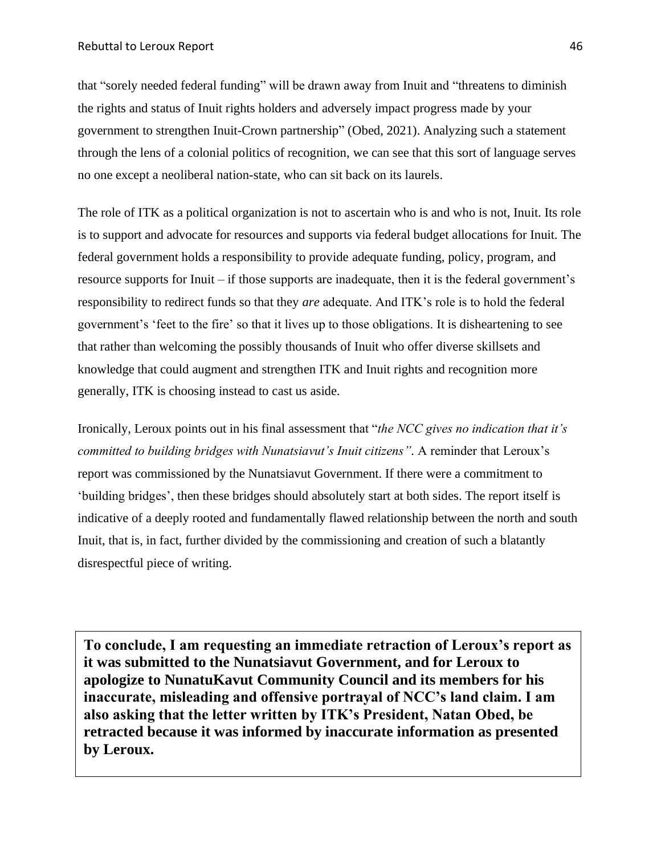that "sorely needed federal funding" will be drawn away from Inuit and "threatens to diminish the rights and status of Inuit rights holders and adversely impact progress made by your government to strengthen Inuit-Crown partnership" (Obed, 2021). Analyzing such a statement through the lens of a colonial politics of recognition, we can see that this sort of language serves no one except a neoliberal nation-state, who can sit back on its laurels.

The role of ITK as a political organization is not to ascertain who is and who is not, Inuit. Its role is to support and advocate for resources and supports via federal budget allocations for Inuit. The federal government holds a responsibility to provide adequate funding, policy, program, and resource supports for Inuit – if those supports are inadequate, then it is the federal government's responsibility to redirect funds so that they *are* adequate. And ITK's role is to hold the federal government's 'feet to the fire' so that it lives up to those obligations. It is disheartening to see that rather than welcoming the possibly thousands of Inuit who offer diverse skillsets and knowledge that could augment and strengthen ITK and Inuit rights and recognition more generally, ITK is choosing instead to cast us aside.

Ironically, Leroux points out in his final assessment that "*the NCC gives no indication that it's committed to building bridges with Nunatsiavut's Inuit citizens".* A reminder that Leroux's report was commissioned by the Nunatsiavut Government. If there were a commitment to 'building bridges', then these bridges should absolutely start at both sides. The report itself is indicative of a deeply rooted and fundamentally flawed relationship between the north and south Inuit, that is, in fact, further divided by the commissioning and creation of such a blatantly disrespectful piece of writing.

**To conclude, I am requesting an immediate retraction of Leroux's report as it was submitted to the Nunatsiavut Government, and for Leroux to apologize to NunatuKavut Community Council and its members for his inaccurate, misleading and offensive portrayal of NCC's land claim. I am also asking that the letter written by ITK's President, Natan Obed, be retracted because it was informed by inaccurate information as presented by Leroux.**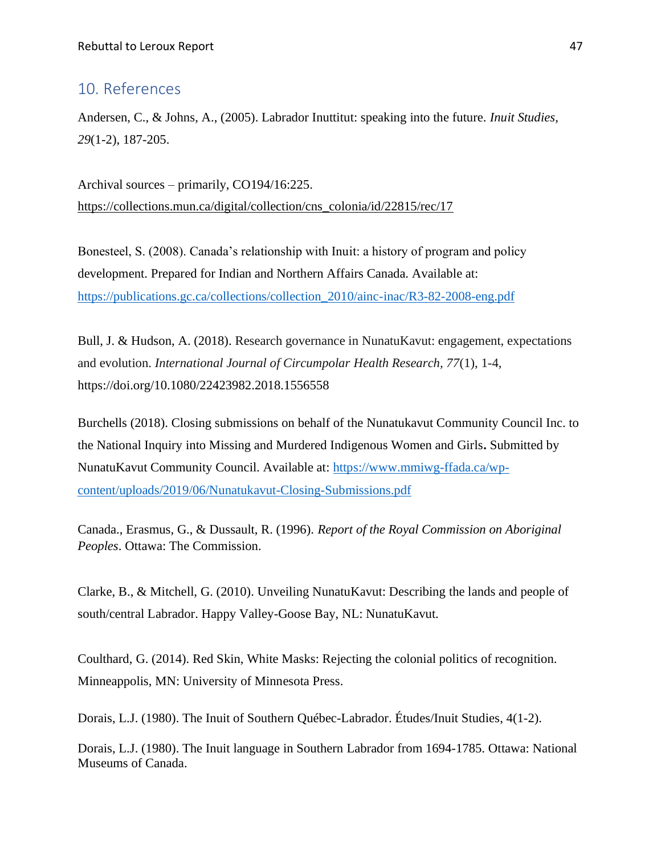#### <span id="page-47-0"></span>10. References

Andersen, C., & Johns, A., (2005). Labrador Inuttitut: speaking into the future. *Inuit Studies, 29*(1-2), 187-205.

Archival sources – primarily, CO194/16:225. [https://collections.mun.ca/digital/collection/cns\\_colonia/id/22815/rec/17](https://collections.mun.ca/digital/collection/cns_colonia/id/22815/rec/17)

Bonesteel, S. (2008). Canada's relationship with Inuit: a history of program and policy development. Prepared for Indian and Northern Affairs Canada. Available at: [https://publications.gc.ca/collections/collection\\_2010/ainc-inac/R3-82-2008-eng.pdf](https://publications.gc.ca/collections/collection_2010/ainc-inac/R3-82-2008-eng.pdf)

Bull, J. & Hudson, A. (2018). Research governance in NunatuKavut: engagement, expectations and evolution. *International Journal of Circumpolar Health Research, 77*(1), 1-4, https://doi.org/10.1080/22423982.2018.1556558

Burchells (2018). Closing submissions on behalf of the Nunatukavut Community Council Inc. to the National Inquiry into Missing and Murdered Indigenous Women and Girls**.** Submitted by NunatuKavut Community Council. Available at: [https://www.mmiwg-ffada.ca/wp](https://www.mmiwg-ffada.ca/wp-content/uploads/2019/06/Nunatukavut-Closing-Submissions.pdf)[content/uploads/2019/06/Nunatukavut-Closing-Submissions.pdf](https://www.mmiwg-ffada.ca/wp-content/uploads/2019/06/Nunatukavut-Closing-Submissions.pdf)

Canada., Erasmus, G., & Dussault, R. (1996). *Report of the Royal Commission on Aboriginal Peoples*. Ottawa: The Commission.

Clarke, B., & Mitchell, G. (2010). Unveiling NunatuKavut: Describing the lands and people of south/central Labrador. Happy Valley-Goose Bay, NL: NunatuKavut.

Coulthard, G. (2014). Red Skin, White Masks: Rejecting the colonial politics of recognition. Minneappolis, MN: University of Minnesota Press.

Dorais, L.J. (1980). The Inuit of Southern Québec-Labrador. Études/Inuit Studies, 4(1-2).

Dorais, L.J. (1980). The Inuit language in Southern Labrador from 1694-1785. Ottawa: National Museums of Canada.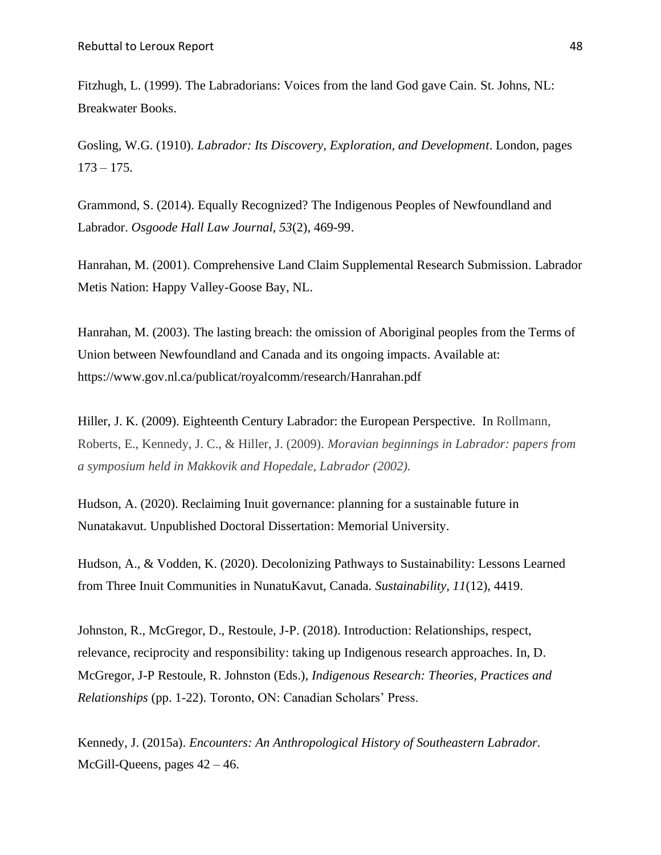Fitzhugh, L. (1999). The Labradorians: Voices from the land God gave Cain. St. Johns, NL: Breakwater Books.

Gosling, W.G. (1910). *Labrador: Its Discovery, Exploration, and Development*. London, pages  $173 - 175.$ 

Grammond, S. (2014). Equally Recognized? The Indigenous Peoples of Newfoundland and Labrador. *Osgoode Hall Law Journal, 53*(2), 469-99.

Hanrahan, M. (2001). Comprehensive Land Claim Supplemental Research Submission. Labrador Metis Nation: Happy Valley-Goose Bay, NL.

Hanrahan, M. (2003). The lasting breach: the omission of Aboriginal peoples from the Terms of Union between Newfoundland and Canada and its ongoing impacts. Available at: https://www.gov.nl.ca/publicat/royalcomm/research/Hanrahan.pdf

Hiller, J. K. (2009). Eighteenth Century Labrador: the European Perspective*.* In Rollmann, Roberts, E., Kennedy, J. C., & Hiller, J. (2009). *Moravian beginnings in Labrador: papers from a symposium held in Makkovik and Hopedale, Labrador (2002).* 

Hudson, A. (2020). Reclaiming Inuit governance: planning for a sustainable future in Nunatakavut. Unpublished Doctoral Dissertation: Memorial University.

Hudson, A., & Vodden, K. (2020). Decolonizing Pathways to Sustainability: Lessons Learned from Three Inuit Communities in NunatuKavut, Canada. *Sustainability, 11*(12), 4419.

Johnston, R., McGregor, D., Restoule, J-P. (2018). Introduction: Relationships, respect, relevance, reciprocity and responsibility: taking up Indigenous research approaches. In, D. McGregor, J-P Restoule, R. Johnston (Eds.), *Indigenous Research: Theories, Practices and Relationships* (pp. 1-22). Toronto, ON: Canadian Scholars' Press.

Kennedy, J. (2015a). *Encounters: An Anthropological History of Southeastern Labrador.*  McGill-Queens, pages  $42 - 46$ .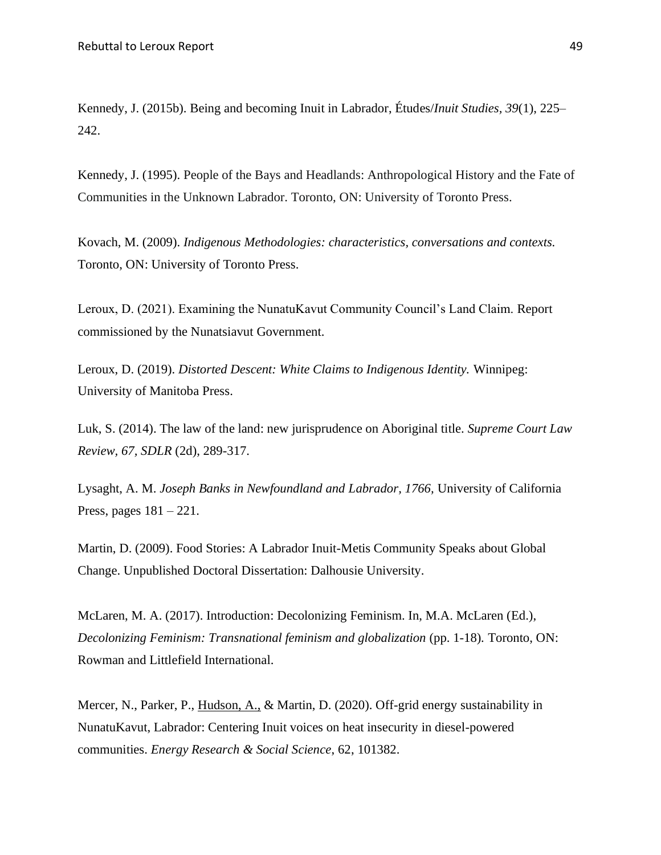Kennedy, J. (2015b). Being and becoming Inuit in Labrador, Études/*Inuit Studies, 39*(1), 225– 242.

Kennedy, J. (1995). People of the Bays and Headlands: Anthropological History and the Fate of Communities in the Unknown Labrador. Toronto, ON: University of Toronto Press.

Kovach, M. (2009). *Indigenous Methodologies: characteristics, conversations and contexts.*  Toronto, ON: University of Toronto Press.

Leroux, D. (2021). Examining the NunatuKavut Community Council's Land Claim. Report commissioned by the Nunatsiavut Government.

Leroux, D. (2019). *Distorted Descent: White Claims to Indigenous Identity.* Winnipeg: University of Manitoba Press.

Luk, S. (2014). The law of the land: new jurisprudence on Aboriginal title. *Supreme Court Law Review, 67, SDLR* (2d), 289-317.

Lysaght, A. M. *Joseph Banks in Newfoundland and Labrador, 1766,* University of California Press, pages 181 – 221.

Martin, D. (2009). Food Stories: A Labrador Inuit-Metis Community Speaks about Global Change. Unpublished Doctoral Dissertation: Dalhousie University.

McLaren, M. A. (2017). Introduction: Decolonizing Feminism. In, M.A. McLaren (Ed.), *Decolonizing Feminism: Transnational feminism and globalization* (pp. 1-18)*.* Toronto, ON: Rowman and Littlefield International.

Mercer, N., Parker, P., Hudson, A., & Martin, D. (2020). Off-grid energy sustainability in NunatuKavut, Labrador: Centering Inuit voices on heat insecurity in diesel-powered communities. *Energy Research & Social Science*, 62, 101382.